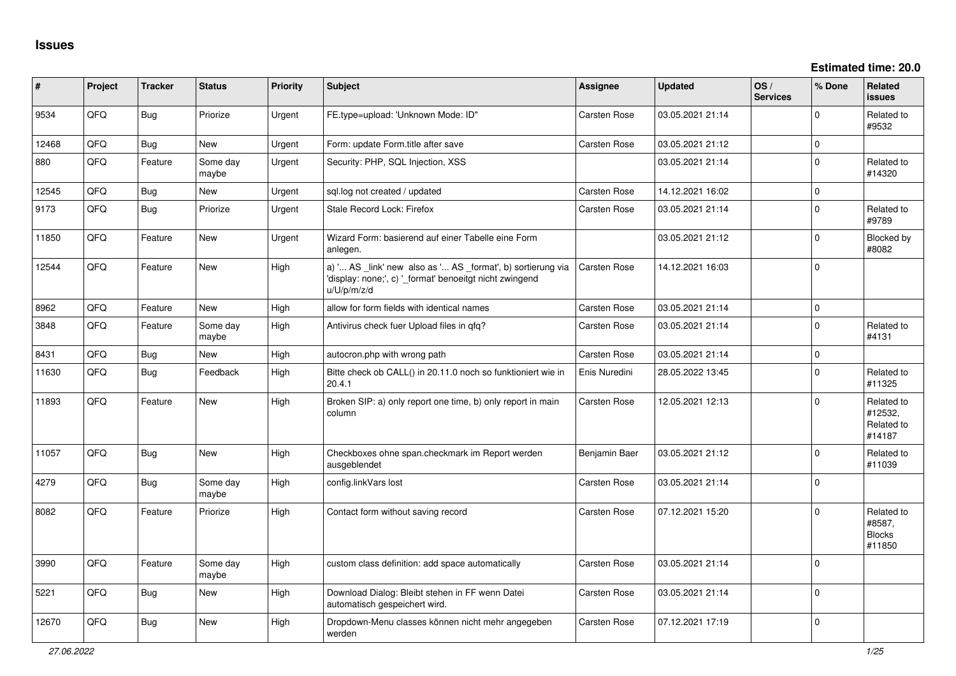| #     | Project | <b>Tracker</b> | <b>Status</b>     | <b>Priority</b> | <b>Subject</b>                                                                                                                        | <b>Assignee</b>     | <b>Updated</b>   | OS/<br><b>Services</b> | % Done       | Related<br><b>issues</b>                        |
|-------|---------|----------------|-------------------|-----------------|---------------------------------------------------------------------------------------------------------------------------------------|---------------------|------------------|------------------------|--------------|-------------------------------------------------|
| 9534  | QFQ     | Bug            | Priorize          | Urgent          | FE.type=upload: 'Unknown Mode: ID"                                                                                                    | <b>Carsten Rose</b> | 03.05.2021 21:14 |                        | $\Omega$     | Related to<br>#9532                             |
| 12468 | QFQ     | Bug            | New               | Urgent          | Form: update Form.title after save                                                                                                    | <b>Carsten Rose</b> | 03.05.2021 21:12 |                        | $\mathbf{0}$ |                                                 |
| 880   | QFQ     | Feature        | Some day<br>maybe | Urgent          | Security: PHP, SQL Injection, XSS                                                                                                     |                     | 03.05.2021 21:14 |                        | $\mathbf 0$  | Related to<br>#14320                            |
| 12545 | QFQ     | <b>Bug</b>     | New               | Urgent          | sql.log not created / updated                                                                                                         | Carsten Rose        | 14.12.2021 16:02 |                        | $\mathbf 0$  |                                                 |
| 9173  | QFQ     | Bug            | Priorize          | Urgent          | Stale Record Lock: Firefox                                                                                                            | Carsten Rose        | 03.05.2021 21:14 |                        | $\mathbf 0$  | Related to<br>#9789                             |
| 11850 | QFQ     | Feature        | New               | Urgent          | Wizard Form: basierend auf einer Tabelle eine Form<br>anlegen.                                                                        |                     | 03.05.2021 21:12 |                        | $\Omega$     | Blocked by<br>#8082                             |
| 12544 | QFQ     | Feature        | <b>New</b>        | High            | a) ' AS _link' new also as ' AS _format', b) sortierung via<br>'display: none;', c) '_format' benoeitgt nicht zwingend<br>u/U/p/m/z/d | <b>Carsten Rose</b> | 14.12.2021 16:03 |                        | $\Omega$     |                                                 |
| 8962  | QFQ     | Feature        | <b>New</b>        | High            | allow for form fields with identical names                                                                                            | <b>Carsten Rose</b> | 03.05.2021 21:14 |                        | $\mathbf{0}$ |                                                 |
| 3848  | QFQ     | Feature        | Some day<br>maybe | High            | Antivirus check fuer Upload files in gfg?                                                                                             | <b>Carsten Rose</b> | 03.05.2021 21:14 |                        | $\Omega$     | Related to<br>#4131                             |
| 8431  | QFQ     | <b>Bug</b>     | <b>New</b>        | High            | autocron.php with wrong path                                                                                                          | <b>Carsten Rose</b> | 03.05.2021 21:14 |                        | $\mathbf{0}$ |                                                 |
| 11630 | QFQ     | <b>Bug</b>     | Feedback          | High            | Bitte check ob CALL() in 20.11.0 noch so funktioniert wie in<br>20.4.1                                                                | Enis Nuredini       | 28.05.2022 13:45 |                        | $\mathbf 0$  | Related to<br>#11325                            |
| 11893 | QFQ     | Feature        | <b>New</b>        | High            | Broken SIP: a) only report one time, b) only report in main<br>column                                                                 | <b>Carsten Rose</b> | 12.05.2021 12:13 |                        | $\Omega$     | Related to<br>#12532.<br>Related to<br>#14187   |
| 11057 | QFQ     | <b>Bug</b>     | <b>New</b>        | High            | Checkboxes ohne span.checkmark im Report werden<br>ausgeblendet                                                                       | Benjamin Baer       | 03.05.2021 21:12 |                        | $\Omega$     | Related to<br>#11039                            |
| 4279  | QFQ     | Bug            | Some day<br>maybe | High            | config.linkVars lost                                                                                                                  | <b>Carsten Rose</b> | 03.05.2021 21:14 |                        | $\mathbf 0$  |                                                 |
| 8082  | QFQ     | Feature        | Priorize          | High            | Contact form without saving record                                                                                                    | Carsten Rose        | 07.12.2021 15:20 |                        | $\mathbf 0$  | Related to<br>#8587,<br><b>Blocks</b><br>#11850 |
| 3990  | QFQ     | Feature        | Some day<br>maybe | High            | custom class definition: add space automatically                                                                                      | Carsten Rose        | 03.05.2021 21:14 |                        | $\mathbf 0$  |                                                 |
| 5221  | QFQ     | Bug            | New               | High            | Download Dialog: Bleibt stehen in FF wenn Datei<br>automatisch gespeichert wird.                                                      | <b>Carsten Rose</b> | 03.05.2021 21:14 |                        | $\Omega$     |                                                 |
| 12670 | QFQ     | Bug            | <b>New</b>        | High            | Dropdown-Menu classes können nicht mehr angegeben<br>werden                                                                           | Carsten Rose        | 07.12.2021 17:19 |                        | $\Omega$     |                                                 |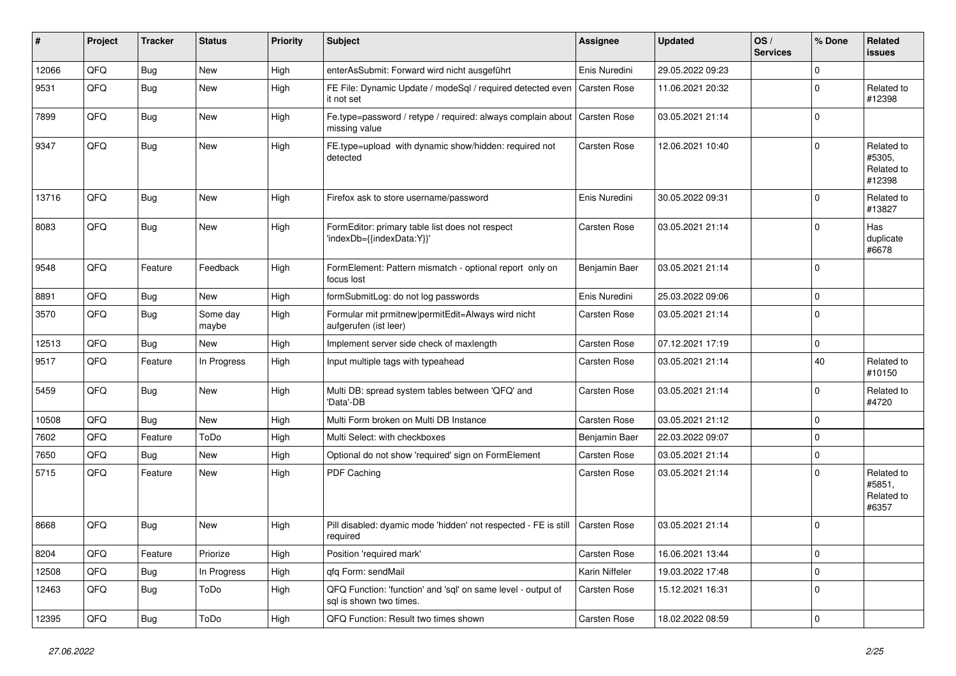| #     | Project | <b>Tracker</b> | <b>Status</b>     | <b>Priority</b> | <b>Subject</b>                                                                          | Assignee            | <b>Updated</b>   | OS/<br><b>Services</b> | % Done         | Related<br><b>issues</b>                     |
|-------|---------|----------------|-------------------|-----------------|-----------------------------------------------------------------------------------------|---------------------|------------------|------------------------|----------------|----------------------------------------------|
| 12066 | QFQ     | Bug            | New               | High            | enterAsSubmit: Forward wird nicht ausgeführt                                            | Enis Nuredini       | 29.05.2022 09:23 |                        | $\mathbf 0$    |                                              |
| 9531  | QFQ     | Bug            | New               | High            | FE File: Dynamic Update / modeSql / required detected even<br>it not set                | Carsten Rose        | 11.06.2021 20:32 |                        | $\Omega$       | Related to<br>#12398                         |
| 7899  | QFQ     | Bug            | New               | High            | Fe.type=password / retype / required: always complain about<br>missing value            | <b>Carsten Rose</b> | 03.05.2021 21:14 |                        | $\Omega$       |                                              |
| 9347  | QFQ     | Bug            | New               | High            | FE.type=upload with dynamic show/hidden: required not<br>detected                       | Carsten Rose        | 12.06.2021 10:40 |                        | $\Omega$       | Related to<br>#5305,<br>Related to<br>#12398 |
| 13716 | QFQ     | Bug            | <b>New</b>        | High            | Firefox ask to store username/password                                                  | Enis Nuredini       | 30.05.2022 09:31 |                        | $\Omega$       | Related to<br>#13827                         |
| 8083  | QFQ     | Bug            | New               | High            | FormEditor: primary table list does not respect<br>'indexDb={{indexData:Y}}'            | Carsten Rose        | 03.05.2021 21:14 |                        | $\Omega$       | Has<br>duplicate<br>#6678                    |
| 9548  | QFQ     | Feature        | Feedback          | High            | FormElement: Pattern mismatch - optional report only on<br>focus lost                   | Benjamin Baer       | 03.05.2021 21:14 |                        | $\mathbf 0$    |                                              |
| 8891  | QFQ     | Bug            | New               | High            | formSubmitLog: do not log passwords                                                     | Enis Nuredini       | 25.03.2022 09:06 |                        | $\mathbf 0$    |                                              |
| 3570  | QFQ     | <b>Bug</b>     | Some day<br>maybe | High            | Formular mit prmitnew permitEdit=Always wird nicht<br>aufgerufen (ist leer)             | Carsten Rose        | 03.05.2021 21:14 |                        | $\Omega$       |                                              |
| 12513 | QFQ     | Bug            | New               | High            | Implement server side check of maxlength                                                | Carsten Rose        | 07.12.2021 17:19 |                        | $\mathbf 0$    |                                              |
| 9517  | QFQ     | Feature        | In Progress       | High            | Input multiple tags with typeahead                                                      | Carsten Rose        | 03.05.2021 21:14 |                        | 40             | Related to<br>#10150                         |
| 5459  | QFQ     | Bug            | <b>New</b>        | High            | Multi DB: spread system tables between 'QFQ' and<br>'Data'-DB                           | Carsten Rose        | 03.05.2021 21:14 |                        | $\Omega$       | Related to<br>#4720                          |
| 10508 | QFQ     | Bug            | New               | High            | Multi Form broken on Multi DB Instance                                                  | Carsten Rose        | 03.05.2021 21:12 |                        | $\mathbf 0$    |                                              |
| 7602  | QFQ     | Feature        | ToDo              | High            | Multi Select: with checkboxes                                                           | Benjamin Baer       | 22.03.2022 09:07 |                        | $\mathbf 0$    |                                              |
| 7650  | QFQ     | Bug            | New               | High            | Optional do not show 'required' sign on FormElement                                     | Carsten Rose        | 03.05.2021 21:14 |                        | $\mathbf 0$    |                                              |
| 5715  | QFQ     | Feature        | <b>New</b>        | High            | PDF Caching                                                                             | Carsten Rose        | 03.05.2021 21:14 |                        | $\Omega$       | Related to<br>#5851,<br>Related to<br>#6357  |
| 8668  | QFQ     | Bug            | New               | High            | Pill disabled: dyamic mode 'hidden' not respected - FE is still<br>required             | <b>Carsten Rose</b> | 03.05.2021 21:14 |                        | $\Omega$       |                                              |
| 8204  | QFQ     | Feature        | Priorize          | High            | Position 'required mark'                                                                | Carsten Rose        | 16.06.2021 13:44 |                        | $\overline{0}$ |                                              |
| 12508 | QFQ     | Bug            | In Progress       | High            | gfg Form: sendMail                                                                      | Karin Niffeler      | 19.03.2022 17:48 |                        | $\mathbf 0$    |                                              |
| 12463 | QFQ     | <b>Bug</b>     | ToDo              | High            | QFQ Function: 'function' and 'sql' on same level - output of<br>sal is shown two times. | Carsten Rose        | 15.12.2021 16:31 |                        | $\mathbf 0$    |                                              |
| 12395 | QFQ     | <b>Bug</b>     | ToDo              | High            | QFQ Function: Result two times shown                                                    | Carsten Rose        | 18.02.2022 08:59 |                        | $\pmb{0}$      |                                              |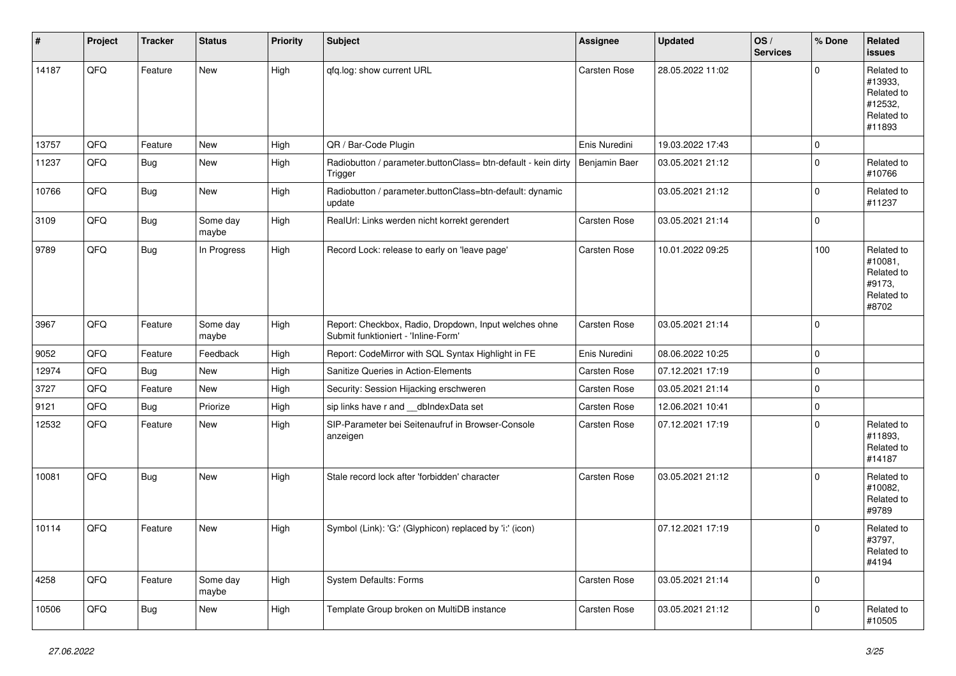| #     | Project | <b>Tracker</b> | <b>Status</b>     | <b>Priority</b> | <b>Subject</b>                                                                               | <b>Assignee</b>     | <b>Updated</b>   | OS/<br><b>Services</b> | % Done       | Related<br><b>issues</b>                                               |
|-------|---------|----------------|-------------------|-----------------|----------------------------------------------------------------------------------------------|---------------------|------------------|------------------------|--------------|------------------------------------------------------------------------|
| 14187 | QFQ     | Feature        | <b>New</b>        | High            | qfq.log: show current URL                                                                    | <b>Carsten Rose</b> | 28.05.2022 11:02 |                        | $\Omega$     | Related to<br>#13933,<br>Related to<br>#12532,<br>Related to<br>#11893 |
| 13757 | QFQ     | Feature        | <b>New</b>        | High            | QR / Bar-Code Plugin                                                                         | Enis Nuredini       | 19.03.2022 17:43 |                        | $\mathbf 0$  |                                                                        |
| 11237 | QFQ     | Bug            | New               | High            | Radiobutton / parameter.buttonClass= btn-default - kein dirty<br>Trigger                     | Benjamin Baer       | 03.05.2021 21:12 |                        | $\mathbf 0$  | Related to<br>#10766                                                   |
| 10766 | QFQ     | Bug            | New               | High            | Radiobutton / parameter.buttonClass=btn-default: dynamic<br>update                           |                     | 03.05.2021 21:12 |                        | $\Omega$     | Related to<br>#11237                                                   |
| 3109  | QFQ     | Bug            | Some day<br>maybe | High            | RealUrl: Links werden nicht korrekt gerendert                                                | Carsten Rose        | 03.05.2021 21:14 |                        | $\mathbf 0$  |                                                                        |
| 9789  | QFQ     | Bug            | In Progress       | High            | Record Lock: release to early on 'leave page'                                                | Carsten Rose        | 10.01.2022 09:25 |                        | 100          | Related to<br>#10081,<br>Related to<br>#9173,<br>Related to<br>#8702   |
| 3967  | QFQ     | Feature        | Some day<br>maybe | High            | Report: Checkbox, Radio, Dropdown, Input welches ohne<br>Submit funktioniert - 'Inline-Form' | Carsten Rose        | 03.05.2021 21:14 |                        | $\Omega$     |                                                                        |
| 9052  | QFQ     | Feature        | Feedback          | High            | Report: CodeMirror with SQL Syntax Highlight in FE                                           | Enis Nuredini       | 08.06.2022 10:25 |                        | $\mathbf 0$  |                                                                        |
| 12974 | QFQ     | Bug            | New               | High            | Sanitize Queries in Action-Elements                                                          | Carsten Rose        | 07.12.2021 17:19 |                        | $\mathbf 0$  |                                                                        |
| 3727  | QFQ     | Feature        | New               | High            | Security: Session Hijacking erschweren                                                       | Carsten Rose        | 03.05.2021 21:14 |                        | $\Omega$     |                                                                        |
| 9121  | QFQ     | Bug            | Priorize          | High            | sip links have r and __dbIndexData set                                                       | Carsten Rose        | 12.06.2021 10:41 |                        | $\mathbf 0$  |                                                                        |
| 12532 | QFQ     | Feature        | New               | High            | SIP-Parameter bei Seitenaufruf in Browser-Console<br>anzeigen                                | Carsten Rose        | 07.12.2021 17:19 |                        | $\Omega$     | Related to<br>#11893,<br>Related to<br>#14187                          |
| 10081 | QFQ     | <b>Bug</b>     | New               | High            | Stale record lock after 'forbidden' character                                                | <b>Carsten Rose</b> | 03.05.2021 21:12 |                        | $\Omega$     | Related to<br>#10082,<br>Related to<br>#9789                           |
| 10114 | QFQ     | Feature        | New               | High            | Symbol (Link): 'G:' (Glyphicon) replaced by 'i:' (icon)                                      |                     | 07.12.2021 17:19 |                        | $\mathbf 0$  | Related to<br>#3797,<br>Related to<br>#4194                            |
| 4258  | QFQ     | Feature        | Some day<br>maybe | High            | <b>System Defaults: Forms</b>                                                                | Carsten Rose        | 03.05.2021 21:14 |                        | $\mathbf{0}$ |                                                                        |
| 10506 | QFQ     | Bug            | New               | High            | Template Group broken on MultiDB instance                                                    | Carsten Rose        | 03.05.2021 21:12 |                        | $\mathbf 0$  | Related to<br>#10505                                                   |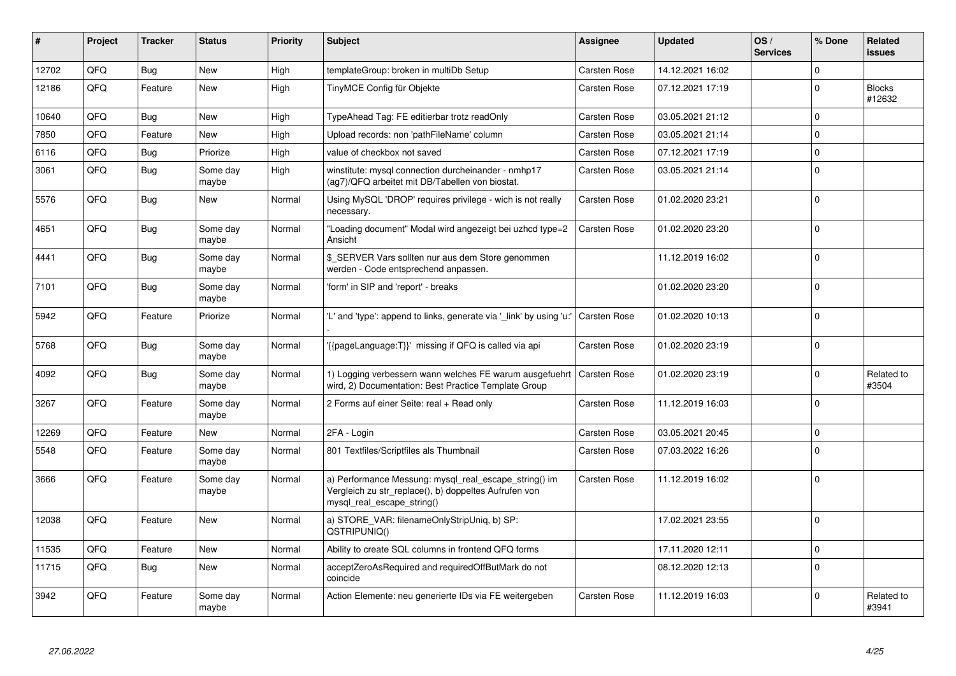| ∦     | Project | <b>Tracker</b> | <b>Status</b>     | <b>Priority</b> | <b>Subject</b>                                                                                                                               | Assignee     | <b>Updated</b>   | OS/<br><b>Services</b> | % Done      | Related<br><b>issues</b> |
|-------|---------|----------------|-------------------|-----------------|----------------------------------------------------------------------------------------------------------------------------------------------|--------------|------------------|------------------------|-------------|--------------------------|
| 12702 | QFQ     | Bug            | <b>New</b>        | High            | templateGroup: broken in multiDb Setup                                                                                                       | Carsten Rose | 14.12.2021 16:02 |                        | $\Omega$    |                          |
| 12186 | QFQ     | Feature        | <b>New</b>        | High            | TinyMCE Config für Objekte                                                                                                                   | Carsten Rose | 07.12.2021 17:19 |                        | $\Omega$    | <b>Blocks</b><br>#12632  |
| 10640 | QFQ     | Bug            | <b>New</b>        | High            | TypeAhead Tag: FE editierbar trotz readOnly                                                                                                  | Carsten Rose | 03.05.2021 21:12 |                        | $\Omega$    |                          |
| 7850  | QFQ     | Feature        | <b>New</b>        | High            | Upload records: non 'pathFileName' column                                                                                                    | Carsten Rose | 03.05.2021 21:14 |                        | $\Omega$    |                          |
| 6116  | QFQ     | Bug            | Priorize          | High            | value of checkbox not saved                                                                                                                  | Carsten Rose | 07.12.2021 17:19 |                        | $\mathbf 0$ |                          |
| 3061  | QFQ     | <b>Bug</b>     | Some day<br>maybe | High            | winstitute: mysql connection durcheinander - nmhp17<br>(ag7)/QFQ arbeitet mit DB/Tabellen von biostat.                                       | Carsten Rose | 03.05.2021 21:14 |                        | $\Omega$    |                          |
| 5576  | QFQ     | <b>Bug</b>     | <b>New</b>        | Normal          | Using MySQL 'DROP' requires privilege - wich is not really<br>necessary.                                                                     | Carsten Rose | 01.02.2020 23:21 |                        | $\Omega$    |                          |
| 4651  | QFQ     | <b>Bug</b>     | Some day<br>maybe | Normal          | "Loading document" Modal wird angezeigt bei uzhcd type=2<br>Ansicht                                                                          | Carsten Rose | 01.02.2020 23:20 |                        | $\Omega$    |                          |
| 4441  | QFQ     | <b>Bug</b>     | Some day<br>maybe | Normal          | \$ SERVER Vars sollten nur aus dem Store genommen<br>werden - Code entsprechend anpassen.                                                    |              | 11.12.2019 16:02 |                        | $\Omega$    |                          |
| 7101  | QFQ     | Bug            | Some day<br>maybe | Normal          | 'form' in SIP and 'report' - breaks                                                                                                          |              | 01.02.2020 23:20 |                        | $\Omega$    |                          |
| 5942  | QFQ     | Feature        | Priorize          | Normal          | "L' and 'type': append to links, generate via 'link' by using 'u:"                                                                           | Carsten Rose | 01.02.2020 10:13 |                        | $\Omega$    |                          |
| 5768  | QFQ     | Bug            | Some day<br>maybe | Normal          | {{pageLanguage:T}}' missing if QFQ is called via api                                                                                         | Carsten Rose | 01.02.2020 23:19 |                        | $\Omega$    |                          |
| 4092  | QFQ     | Bug            | Some day<br>maybe | Normal          | 1) Logging verbessern wann welches FE warum ausgefuehrt<br>wird, 2) Documentation: Best Practice Template Group                              | Carsten Rose | 01.02.2020 23:19 |                        | $\Omega$    | Related to<br>#3504      |
| 3267  | QFQ     | Feature        | Some day<br>maybe | Normal          | 2 Forms auf einer Seite: real + Read only                                                                                                    | Carsten Rose | 11.12.2019 16:03 |                        | $\Omega$    |                          |
| 12269 | QFQ     | Feature        | New               | Normal          | 2FA - Login                                                                                                                                  | Carsten Rose | 03.05.2021 20:45 |                        | $\Omega$    |                          |
| 5548  | QFQ     | Feature        | Some day<br>maybe | Normal          | 801 Textfiles/Scriptfiles als Thumbnail                                                                                                      | Carsten Rose | 07.03.2022 16:26 |                        | $\Omega$    |                          |
| 3666  | QFQ     | Feature        | Some day<br>maybe | Normal          | a) Performance Messung: mysql_real_escape_string() im<br>Vergleich zu str_replace(), b) doppeltes Aufrufen von<br>mysql real escape string() | Carsten Rose | 11.12.2019 16:02 |                        | $\Omega$    |                          |
| 12038 | QFQ     | Feature        | <b>New</b>        | Normal          | a) STORE_VAR: filenameOnlyStripUniq, b) SP:<br>QSTRIPUNIQ()                                                                                  |              | 17.02.2021 23:55 |                        | $\Omega$    |                          |
| 11535 | QFQ     | Feature        | New               | Normal          | Ability to create SQL columns in frontend QFQ forms                                                                                          |              | 17.11.2020 12:11 |                        | 0           |                          |
| 11715 | QFQ     | Bug            | <b>New</b>        | Normal          | acceptZeroAsRequired and requiredOffButMark do not<br>coincide                                                                               |              | 08.12.2020 12:13 |                        | $\Omega$    |                          |
| 3942  | QFQ     | Feature        | Some day<br>maybe | Normal          | Action Elemente: neu generierte IDs via FE weitergeben                                                                                       | Carsten Rose | 11.12.2019 16:03 |                        | $\Omega$    | Related to<br>#3941      |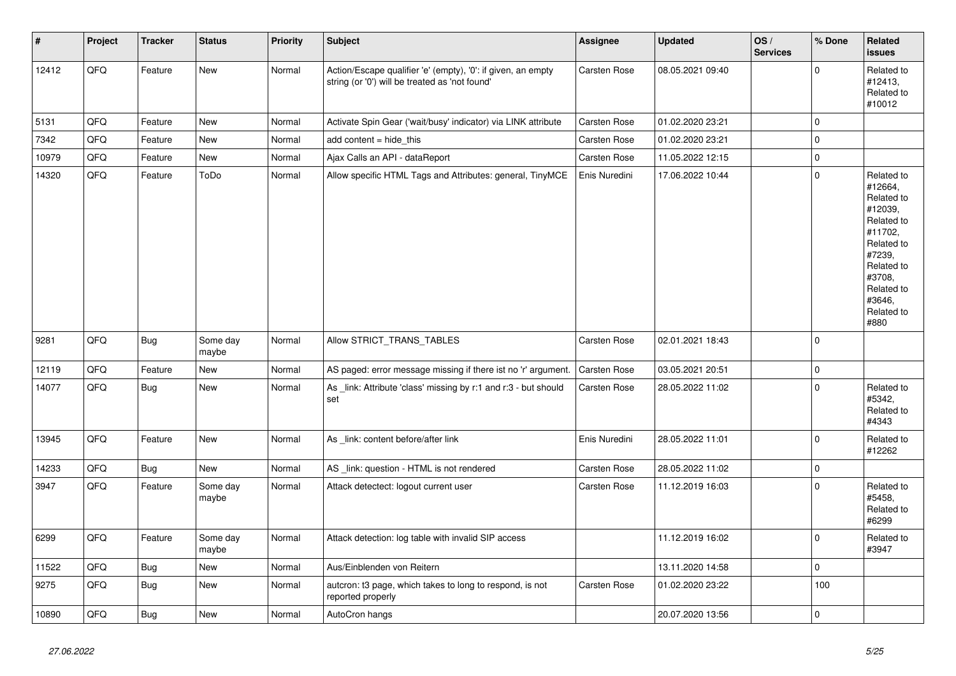| $\vert$ # | Project | <b>Tracker</b> | <b>Status</b>     | <b>Priority</b> | Subject                                                                                                        | Assignee            | <b>Updated</b>   | OS/<br><b>Services</b> | % Done         | Related<br><b>issues</b>                                                                                                                                              |
|-----------|---------|----------------|-------------------|-----------------|----------------------------------------------------------------------------------------------------------------|---------------------|------------------|------------------------|----------------|-----------------------------------------------------------------------------------------------------------------------------------------------------------------------|
| 12412     | QFQ     | Feature        | New               | Normal          | Action/Escape qualifier 'e' (empty), '0': if given, an empty<br>string (or '0') will be treated as 'not found' | Carsten Rose        | 08.05.2021 09:40 |                        | $\mathbf 0$    | Related to<br>#12413,<br>Related to<br>#10012                                                                                                                         |
| 5131      | QFQ     | Feature        | New               | Normal          | Activate Spin Gear ('wait/busy' indicator) via LINK attribute                                                  | Carsten Rose        | 01.02.2020 23:21 |                        | $\pmb{0}$      |                                                                                                                                                                       |
| 7342      | QFQ     | Feature        | <b>New</b>        | Normal          | add content $=$ hide this                                                                                      | Carsten Rose        | 01.02.2020 23:21 |                        | $\overline{0}$ |                                                                                                                                                                       |
| 10979     | QFQ     | Feature        | New               | Normal          | Ajax Calls an API - dataReport                                                                                 | Carsten Rose        | 11.05.2022 12:15 |                        | $\pmb{0}$      |                                                                                                                                                                       |
| 14320     | QFQ     | Feature        | ToDo              | Normal          | Allow specific HTML Tags and Attributes: general, TinyMCE                                                      | Enis Nuredini       | 17.06.2022 10:44 |                        | $\mathbf 0$    | Related to<br>#12664.<br>Related to<br>#12039.<br>Related to<br>#11702,<br>Related to<br>#7239,<br>Related to<br>#3708,<br>Related to<br>#3646,<br>Related to<br>#880 |
| 9281      | QFQ     | <b>Bug</b>     | Some day<br>maybe | Normal          | Allow STRICT_TRANS_TABLES                                                                                      | Carsten Rose        | 02.01.2021 18:43 |                        | $\overline{0}$ |                                                                                                                                                                       |
| 12119     | QFQ     | Feature        | <b>New</b>        | Normal          | AS paged: error message missing if there ist no 'r' argument.                                                  | <b>Carsten Rose</b> | 03.05.2021 20:51 |                        | $\overline{0}$ |                                                                                                                                                                       |
| 14077     | QFQ     | Bug            | <b>New</b>        | Normal          | As _link: Attribute 'class' missing by r:1 and r:3 - but should<br>set                                         | <b>Carsten Rose</b> | 28.05.2022 11:02 |                        | $\pmb{0}$      | Related to<br>#5342,<br>Related to<br>#4343                                                                                                                           |
| 13945     | QFQ     | Feature        | <b>New</b>        | Normal          | As link: content before/after link                                                                             | Enis Nuredini       | 28.05.2022 11:01 |                        | $\overline{0}$ | Related to<br>#12262                                                                                                                                                  |
| 14233     | QFQ     | <b>Bug</b>     | New               | Normal          | AS _link: question - HTML is not rendered                                                                      | Carsten Rose        | 28.05.2022 11:02 |                        | $\pmb{0}$      |                                                                                                                                                                       |
| 3947      | QFQ     | Feature        | Some day<br>maybe | Normal          | Attack detectect: logout current user                                                                          | Carsten Rose        | 11.12.2019 16:03 |                        | $\Omega$       | Related to<br>#5458,<br>Related to<br>#6299                                                                                                                           |
| 6299      | QFQ     | Feature        | Some day<br>maybe | Normal          | Attack detection: log table with invalid SIP access                                                            |                     | 11.12.2019 16:02 |                        | $\overline{0}$ | Related to<br>#3947                                                                                                                                                   |
| 11522     | QFQ     | Bug            | New               | Normal          | Aus/Einblenden von Reitern                                                                                     |                     | 13.11.2020 14:58 |                        | $\pmb{0}$      |                                                                                                                                                                       |
| 9275      | QFQ     | <b>Bug</b>     | New               | Normal          | autcron: t3 page, which takes to long to respond, is not<br>reported properly                                  | Carsten Rose        | 01.02.2020 23:22 |                        | 100            |                                                                                                                                                                       |
| 10890     | QFQ     | <b>Bug</b>     | New               | Normal          | AutoCron hangs                                                                                                 |                     | 20.07.2020 13:56 |                        | $\overline{0}$ |                                                                                                                                                                       |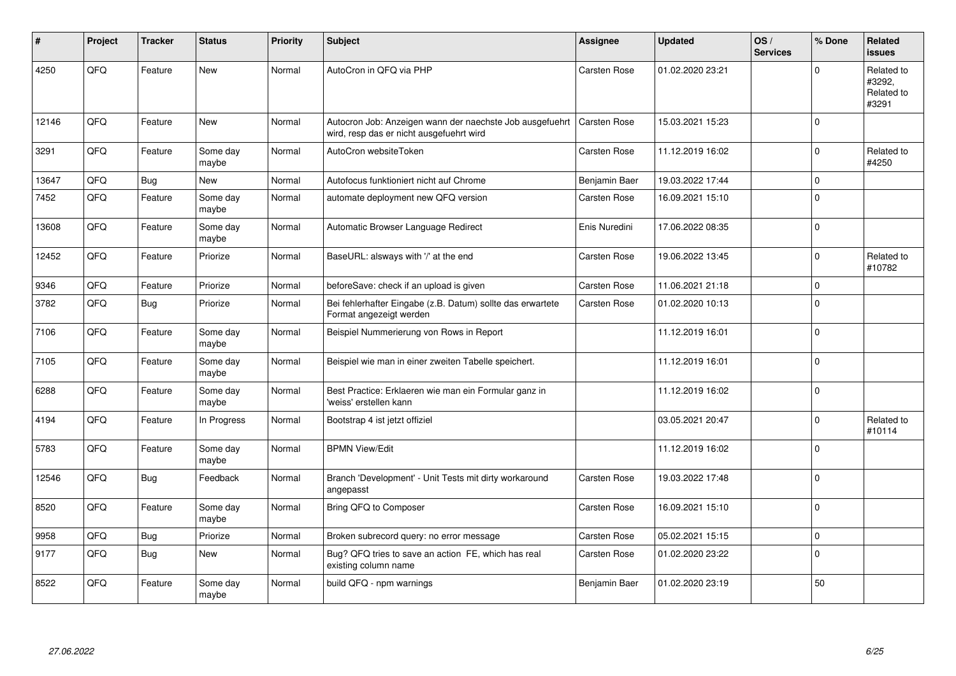| #     | Project | <b>Tracker</b> | <b>Status</b>     | <b>Priority</b> | <b>Subject</b>                                                                                       | <b>Assignee</b>     | <b>Updated</b>   | OS/<br><b>Services</b> | % Done         | Related<br><b>issues</b>                    |
|-------|---------|----------------|-------------------|-----------------|------------------------------------------------------------------------------------------------------|---------------------|------------------|------------------------|----------------|---------------------------------------------|
| 4250  | QFQ     | Feature        | <b>New</b>        | Normal          | AutoCron in QFQ via PHP                                                                              | Carsten Rose        | 01.02.2020 23:21 |                        | $\Omega$       | Related to<br>#3292,<br>Related to<br>#3291 |
| 12146 | QFQ     | Feature        | <b>New</b>        | Normal          | Autocron Job: Anzeigen wann der naechste Job ausgefuehrt<br>wird, resp das er nicht ausgefuehrt wird | <b>Carsten Rose</b> | 15.03.2021 15:23 |                        | $\overline{0}$ |                                             |
| 3291  | QFQ     | Feature        | Some day<br>maybe | Normal          | AutoCron websiteToken                                                                                | Carsten Rose        | 11.12.2019 16:02 |                        | $\mathbf 0$    | Related to<br>#4250                         |
| 13647 | QFQ     | Bug            | <b>New</b>        | Normal          | Autofocus funktioniert nicht auf Chrome                                                              | Benjamin Baer       | 19.03.2022 17:44 |                        | $\overline{0}$ |                                             |
| 7452  | QFQ     | Feature        | Some day<br>maybe | Normal          | automate deployment new QFQ version                                                                  | Carsten Rose        | 16.09.2021 15:10 |                        | $\overline{0}$ |                                             |
| 13608 | QFQ     | Feature        | Some day<br>maybe | Normal          | Automatic Browser Language Redirect                                                                  | Enis Nuredini       | 17.06.2022 08:35 |                        | $\overline{0}$ |                                             |
| 12452 | QFQ     | Feature        | Priorize          | Normal          | BaseURL: alsways with '/' at the end                                                                 | Carsten Rose        | 19.06.2022 13:45 |                        | $\mathbf 0$    | Related to<br>#10782                        |
| 9346  | QFQ     | Feature        | Priorize          | Normal          | beforeSave: check if an upload is given                                                              | Carsten Rose        | 11.06.2021 21:18 |                        | $\mathbf 0$    |                                             |
| 3782  | QFQ     | Bug            | Priorize          | Normal          | Bei fehlerhafter Eingabe (z.B. Datum) sollte das erwartete<br>Format angezeigt werden                | Carsten Rose        | 01.02.2020 10:13 |                        | $\overline{0}$ |                                             |
| 7106  | QFQ     | Feature        | Some day<br>maybe | Normal          | Beispiel Nummerierung von Rows in Report                                                             |                     | 11.12.2019 16:01 |                        | $\mathbf 0$    |                                             |
| 7105  | QFQ     | Feature        | Some day<br>maybe | Normal          | Beispiel wie man in einer zweiten Tabelle speichert.                                                 |                     | 11.12.2019 16:01 |                        | $\Omega$       |                                             |
| 6288  | QFQ     | Feature        | Some day<br>maybe | Normal          | Best Practice: Erklaeren wie man ein Formular ganz in<br>'weiss' erstellen kann                      |                     | 11.12.2019 16:02 |                        | $\overline{0}$ |                                             |
| 4194  | QFQ     | Feature        | In Progress       | Normal          | Bootstrap 4 ist jetzt offiziel                                                                       |                     | 03.05.2021 20:47 |                        | $\mathbf{0}$   | Related to<br>#10114                        |
| 5783  | QFQ     | Feature        | Some day<br>maybe | Normal          | <b>BPMN View/Edit</b>                                                                                |                     | 11.12.2019 16:02 |                        | $\mathbf 0$    |                                             |
| 12546 | QFQ     | Bug            | Feedback          | Normal          | Branch 'Development' - Unit Tests mit dirty workaround<br>angepasst                                  | Carsten Rose        | 19.03.2022 17:48 |                        | $\overline{0}$ |                                             |
| 8520  | QFQ     | Feature        | Some day<br>maybe | Normal          | Bring QFQ to Composer                                                                                | Carsten Rose        | 16.09.2021 15:10 |                        | $\Omega$       |                                             |
| 9958  | QFQ     | <b>Bug</b>     | Priorize          | Normal          | Broken subrecord query: no error message                                                             | Carsten Rose        | 05.02.2021 15:15 |                        | $\pmb{0}$      |                                             |
| 9177  | QFQ     | Bug            | <b>New</b>        | Normal          | Bug? QFQ tries to save an action FE, which has real<br>existing column name                          | Carsten Rose        | 01.02.2020 23:22 |                        | $\mathbf 0$    |                                             |
| 8522  | QFQ     | Feature        | Some day<br>maybe | Normal          | build QFQ - npm warnings                                                                             | Benjamin Baer       | 01.02.2020 23:19 |                        | 50             |                                             |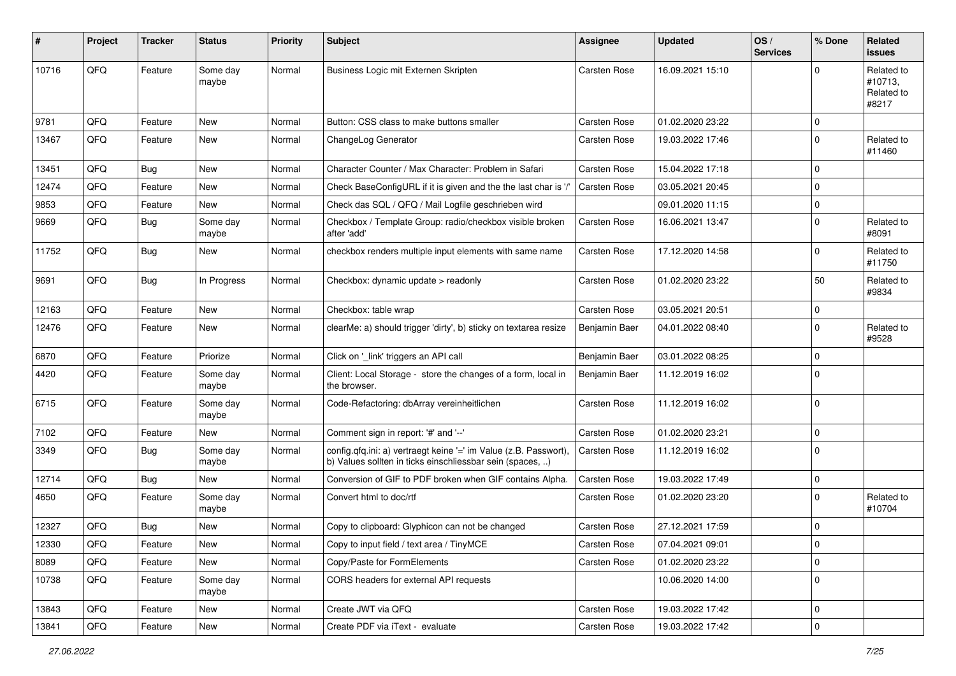| #     | Project | <b>Tracker</b> | <b>Status</b>     | Priority | <b>Subject</b>                                                                                                                | <b>Assignee</b>     | <b>Updated</b>   | OS/<br><b>Services</b> | % Done         | Related<br><b>issues</b>                     |
|-------|---------|----------------|-------------------|----------|-------------------------------------------------------------------------------------------------------------------------------|---------------------|------------------|------------------------|----------------|----------------------------------------------|
| 10716 | QFQ     | Feature        | Some day<br>maybe | Normal   | Business Logic mit Externen Skripten                                                                                          | <b>Carsten Rose</b> | 16.09.2021 15:10 |                        | $\Omega$       | Related to<br>#10713,<br>Related to<br>#8217 |
| 9781  | QFQ     | Feature        | New               | Normal   | Button: CSS class to make buttons smaller                                                                                     | Carsten Rose        | 01.02.2020 23:22 |                        | $\mathbf 0$    |                                              |
| 13467 | QFQ     | Feature        | New               | Normal   | ChangeLog Generator                                                                                                           | Carsten Rose        | 19.03.2022 17:46 |                        | $\overline{0}$ | Related to<br>#11460                         |
| 13451 | QFQ     | Bug            | New               | Normal   | Character Counter / Max Character: Problem in Safari                                                                          | Carsten Rose        | 15.04.2022 17:18 |                        | $\mathbf 0$    |                                              |
| 12474 | QFQ     | Feature        | New               | Normal   | Check BaseConfigURL if it is given and the the last char is '/'                                                               | Carsten Rose        | 03.05.2021 20:45 |                        | $\mathbf 0$    |                                              |
| 9853  | QFQ     | Feature        | New               | Normal   | Check das SQL / QFQ / Mail Logfile geschrieben wird                                                                           |                     | 09.01.2020 11:15 |                        | $\mathbf 0$    |                                              |
| 9669  | QFQ     | Bug            | Some day<br>maybe | Normal   | Checkbox / Template Group: radio/checkbox visible broken<br>after 'add'                                                       | Carsten Rose        | 16.06.2021 13:47 |                        | $\overline{0}$ | Related to<br>#8091                          |
| 11752 | QFQ     | Bug            | New               | Normal   | checkbox renders multiple input elements with same name                                                                       | Carsten Rose        | 17.12.2020 14:58 |                        | $\Omega$       | Related to<br>#11750                         |
| 9691  | QFQ     | Bug            | In Progress       | Normal   | Checkbox: dynamic update > readonly                                                                                           | Carsten Rose        | 01.02.2020 23:22 |                        | 50             | Related to<br>#9834                          |
| 12163 | QFQ     | Feature        | <b>New</b>        | Normal   | Checkbox: table wrap                                                                                                          | Carsten Rose        | 03.05.2021 20:51 |                        | $\overline{0}$ |                                              |
| 12476 | QFQ     | Feature        | New               | Normal   | clearMe: a) should trigger 'dirty', b) sticky on textarea resize                                                              | Benjamin Baer       | 04.01.2022 08:40 |                        | $\overline{0}$ | Related to<br>#9528                          |
| 6870  | QFQ     | Feature        | Priorize          | Normal   | Click on '_link' triggers an API call                                                                                         | Benjamin Baer       | 03.01.2022 08:25 |                        | $\mathbf 0$    |                                              |
| 4420  | QFQ     | Feature        | Some day<br>maybe | Normal   | Client: Local Storage - store the changes of a form, local in<br>the browser.                                                 | Benjamin Baer       | 11.12.2019 16:02 |                        | $\overline{0}$ |                                              |
| 6715  | QFQ     | Feature        | Some day<br>maybe | Normal   | Code-Refactoring: dbArray vereinheitlichen                                                                                    | Carsten Rose        | 11.12.2019 16:02 |                        | $\overline{0}$ |                                              |
| 7102  | QFQ     | Feature        | New               | Normal   | Comment sign in report: '#' and '--'                                                                                          | Carsten Rose        | 01.02.2020 23:21 |                        | $\pmb{0}$      |                                              |
| 3349  | QFQ     | <b>Bug</b>     | Some day<br>maybe | Normal   | config.qfq.ini: a) vertraegt keine '=' im Value (z.B. Passwort),<br>b) Values sollten in ticks einschliessbar sein (spaces, ) | Carsten Rose        | 11.12.2019 16:02 |                        | $\overline{0}$ |                                              |
| 12714 | QFQ     | Bug            | New               | Normal   | Conversion of GIF to PDF broken when GIF contains Alpha.                                                                      | Carsten Rose        | 19.03.2022 17:49 |                        | $\overline{0}$ |                                              |
| 4650  | QFQ     | Feature        | Some day<br>maybe | Normal   | Convert html to doc/rtf                                                                                                       | Carsten Rose        | 01.02.2020 23:20 |                        | $\mathbf 0$    | Related to<br>#10704                         |
| 12327 | QFQ     | Bug            | New               | Normal   | Copy to clipboard: Glyphicon can not be changed                                                                               | Carsten Rose        | 27.12.2021 17:59 |                        | $\overline{0}$ |                                              |
| 12330 | QFQ     | Feature        | New               | Normal   | Copy to input field / text area / TinyMCE                                                                                     | Carsten Rose        | 07.04.2021 09:01 |                        | 0              |                                              |
| 8089  | QFQ     | Feature        | New               | Normal   | Copy/Paste for FormElements                                                                                                   | Carsten Rose        | 01.02.2020 23:22 |                        | $\overline{0}$ |                                              |
| 10738 | QFQ     | Feature        | Some day<br>maybe | Normal   | CORS headers for external API requests                                                                                        |                     | 10.06.2020 14:00 |                        | $\mathbf 0$    |                                              |
| 13843 | QFQ     | Feature        | New               | Normal   | Create JWT via QFQ                                                                                                            | Carsten Rose        | 19.03.2022 17:42 |                        | $\overline{0}$ |                                              |
| 13841 | QFQ     | Feature        | New               | Normal   | Create PDF via iText - evaluate                                                                                               | Carsten Rose        | 19.03.2022 17:42 |                        | $\overline{0}$ |                                              |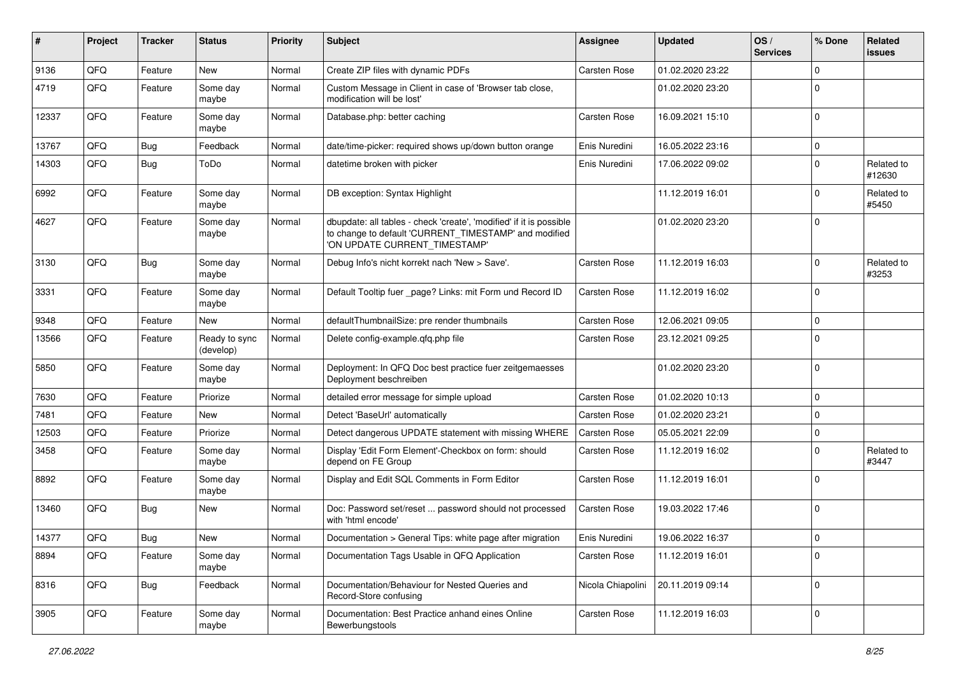| #     | Project | <b>Tracker</b> | <b>Status</b>              | <b>Priority</b> | Subject                                                                                                                                                       | <b>Assignee</b>     | <b>Updated</b>   | OS/<br><b>Services</b> | % Done         | Related<br><b>issues</b> |
|-------|---------|----------------|----------------------------|-----------------|---------------------------------------------------------------------------------------------------------------------------------------------------------------|---------------------|------------------|------------------------|----------------|--------------------------|
| 9136  | QFQ     | Feature        | New                        | Normal          | Create ZIP files with dynamic PDFs                                                                                                                            | <b>Carsten Rose</b> | 01.02.2020 23:22 |                        | $\mathbf 0$    |                          |
| 4719  | QFQ     | Feature        | Some day<br>maybe          | Normal          | Custom Message in Client in case of 'Browser tab close,<br>modification will be lost'                                                                         |                     | 01.02.2020 23:20 |                        | $\Omega$       |                          |
| 12337 | QFQ     | Feature        | Some day<br>maybe          | Normal          | Database.php: better caching                                                                                                                                  | Carsten Rose        | 16.09.2021 15:10 |                        | $\mathbf 0$    |                          |
| 13767 | QFQ     | Bug            | Feedback                   | Normal          | date/time-picker: required shows up/down button orange                                                                                                        | Enis Nuredini       | 16.05.2022 23:16 |                        | $\pmb{0}$      |                          |
| 14303 | QFQ     | Bug            | ToDo                       | Normal          | datetime broken with picker                                                                                                                                   | Enis Nuredini       | 17.06.2022 09:02 |                        | $\overline{0}$ | Related to<br>#12630     |
| 6992  | QFQ     | Feature        | Some day<br>maybe          | Normal          | DB exception: Syntax Highlight                                                                                                                                |                     | 11.12.2019 16:01 |                        | $\mathbf 0$    | Related to<br>#5450      |
| 4627  | QFQ     | Feature        | Some day<br>maybe          | Normal          | dbupdate: all tables - check 'create', 'modified' if it is possible<br>to change to default 'CURRENT_TIMESTAMP' and modified<br>'ON UPDATE CURRENT_TIMESTAMP' |                     | 01.02.2020 23:20 |                        | $\overline{0}$ |                          |
| 3130  | QFQ     | Bug            | Some day<br>maybe          | Normal          | Debug Info's nicht korrekt nach 'New > Save'.                                                                                                                 | Carsten Rose        | 11.12.2019 16:03 |                        | $\mathbf 0$    | Related to<br>#3253      |
| 3331  | QFQ     | Feature        | Some day<br>maybe          | Normal          | Default Tooltip fuer _page? Links: mit Form und Record ID                                                                                                     | Carsten Rose        | 11.12.2019 16:02 |                        | $\Omega$       |                          |
| 9348  | QFQ     | Feature        | New                        | Normal          | defaultThumbnailSize: pre render thumbnails                                                                                                                   | <b>Carsten Rose</b> | 12.06.2021 09:05 |                        | $\mathbf 0$    |                          |
| 13566 | QFQ     | Feature        | Ready to sync<br>(develop) | Normal          | Delete config-example.gfg.php file                                                                                                                            | Carsten Rose        | 23.12.2021 09:25 |                        | $\mathbf 0$    |                          |
| 5850  | QFQ     | Feature        | Some day<br>maybe          | Normal          | Deployment: In QFQ Doc best practice fuer zeitgemaesses<br>Deployment beschreiben                                                                             |                     | 01.02.2020 23:20 |                        | $\overline{0}$ |                          |
| 7630  | QFQ     | Feature        | Priorize                   | Normal          | detailed error message for simple upload                                                                                                                      | <b>Carsten Rose</b> | 01.02.2020 10:13 |                        | $\mathbf 0$    |                          |
| 7481  | QFQ     | Feature        | New                        | Normal          | Detect 'BaseUrl' automatically                                                                                                                                | Carsten Rose        | 01.02.2020 23:21 |                        | $\pmb{0}$      |                          |
| 12503 | QFQ     | Feature        | Priorize                   | Normal          | Detect dangerous UPDATE statement with missing WHERE                                                                                                          | Carsten Rose        | 05.05.2021 22:09 |                        | $\overline{0}$ |                          |
| 3458  | QFQ     | Feature        | Some day<br>maybe          | Normal          | Display 'Edit Form Element'-Checkbox on form: should<br>depend on FE Group                                                                                    | Carsten Rose        | 11.12.2019 16:02 |                        | $\mathbf 0$    | Related to<br>#3447      |
| 8892  | QFQ     | Feature        | Some day<br>maybe          | Normal          | Display and Edit SQL Comments in Form Editor                                                                                                                  | Carsten Rose        | 11.12.2019 16:01 |                        | $\overline{0}$ |                          |
| 13460 | QFQ     | Bug            | New                        | Normal          | Doc: Password set/reset  password should not processed<br>with 'html encode'                                                                                  | Carsten Rose        | 19.03.2022 17:46 |                        | $\overline{0}$ |                          |
| 14377 | QFQ     | Bug            | New                        | Normal          | Documentation > General Tips: white page after migration                                                                                                      | Enis Nuredini       | 19.06.2022 16:37 |                        | $\mathbf 0$    |                          |
| 8894  | QFQ     | Feature        | Some day<br>maybe          | Normal          | Documentation Tags Usable in QFQ Application                                                                                                                  | Carsten Rose        | 11.12.2019 16:01 |                        | $\overline{0}$ |                          |
| 8316  | QFQ     | Bug            | Feedback                   | Normal          | Documentation/Behaviour for Nested Queries and<br>Record-Store confusing                                                                                      | Nicola Chiapolini   | 20.11.2019 09:14 |                        | $\mathbf 0$    |                          |
| 3905  | QFQ     | Feature        | Some day<br>maybe          | Normal          | Documentation: Best Practice anhand eines Online<br>Bewerbungstools                                                                                           | Carsten Rose        | 11.12.2019 16:03 |                        | $\mathbf 0$    |                          |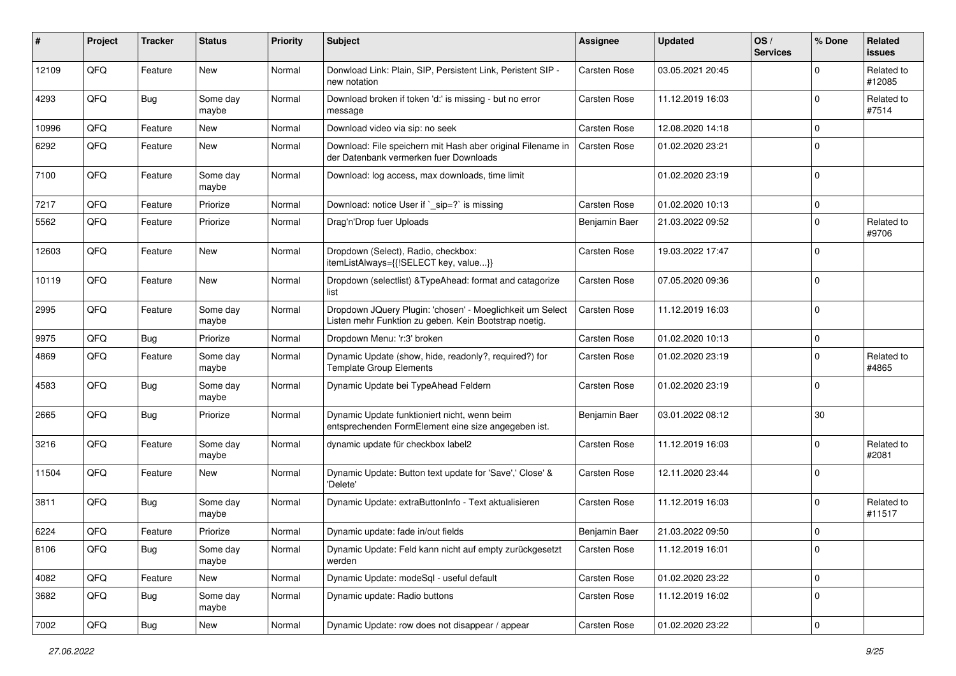| #     | Project | <b>Tracker</b> | <b>Status</b>     | <b>Priority</b> | <b>Subject</b>                                                                                                     | <b>Assignee</b>     | <b>Updated</b>   | OS/<br><b>Services</b> | % Done       | Related<br><b>issues</b> |
|-------|---------|----------------|-------------------|-----------------|--------------------------------------------------------------------------------------------------------------------|---------------------|------------------|------------------------|--------------|--------------------------|
| 12109 | QFQ     | Feature        | <b>New</b>        | Normal          | Donwload Link: Plain, SIP, Persistent Link, Peristent SIP -<br>new notation                                        | <b>Carsten Rose</b> | 03.05.2021 20:45 |                        | <sup>0</sup> | Related to<br>#12085     |
| 4293  | QFQ     | <b>Bug</b>     | Some day<br>maybe | Normal          | Download broken if token 'd:' is missing - but no error<br>message                                                 | Carsten Rose        | 11.12.2019 16:03 |                        | $\Omega$     | Related to<br>#7514      |
| 10996 | QFQ     | Feature        | New               | Normal          | Download video via sip: no seek                                                                                    | Carsten Rose        | 12.08.2020 14:18 |                        | 0            |                          |
| 6292  | QFQ     | Feature        | New               | Normal          | Download: File speichern mit Hash aber original Filename in<br>der Datenbank vermerken fuer Downloads              | Carsten Rose        | 01.02.2020 23:21 |                        | $\Omega$     |                          |
| 7100  | QFQ     | Feature        | Some day<br>maybe | Normal          | Download: log access, max downloads, time limit                                                                    |                     | 01.02.2020 23:19 |                        | $\Omega$     |                          |
| 7217  | QFQ     | Feature        | Priorize          | Normal          | Download: notice User if `_sip=?` is missing                                                                       | Carsten Rose        | 01.02.2020 10:13 |                        | 0            |                          |
| 5562  | QFQ     | Feature        | Priorize          | Normal          | Drag'n'Drop fuer Uploads                                                                                           | Benjamin Baer       | 21.03.2022 09:52 |                        | $\Omega$     | Related to<br>#9706      |
| 12603 | QFQ     | Feature        | <b>New</b>        | Normal          | Dropdown (Select), Radio, checkbox:<br>itemListAlways={{!SELECT key, value}}                                       | Carsten Rose        | 19.03.2022 17:47 |                        | 0            |                          |
| 10119 | QFQ     | Feature        | <b>New</b>        | Normal          | Dropdown (selectlist) & Type Ahead: format and catagorize<br>list                                                  | Carsten Rose        | 07.05.2020 09:36 |                        | $\Omega$     |                          |
| 2995  | QFQ     | Feature        | Some day<br>maybe | Normal          | Dropdown JQuery Plugin: 'chosen' - Moeglichkeit um Select<br>Listen mehr Funktion zu geben. Kein Bootstrap noetig. | Carsten Rose        | 11.12.2019 16:03 |                        | $\Omega$     |                          |
| 9975  | QFQ     | <b>Bug</b>     | Priorize          | Normal          | Dropdown Menu: 'r:3' broken                                                                                        | Carsten Rose        | 01.02.2020 10:13 |                        | 0            |                          |
| 4869  | QFQ     | Feature        | Some day<br>maybe | Normal          | Dynamic Update (show, hide, readonly?, required?) for<br><b>Template Group Elements</b>                            | Carsten Rose        | 01.02.2020 23:19 |                        | 0            | Related to<br>#4865      |
| 4583  | QFQ     | Bug            | Some day<br>maybe | Normal          | Dynamic Update bei TypeAhead Feldern                                                                               | Carsten Rose        | 01.02.2020 23:19 |                        | $\Omega$     |                          |
| 2665  | QFQ     | <b>Bug</b>     | Priorize          | Normal          | Dynamic Update funktioniert nicht, wenn beim<br>entsprechenden FormElement eine size angegeben ist.                | Benjamin Baer       | 03.01.2022 08:12 |                        | 30           |                          |
| 3216  | QFQ     | Feature        | Some day<br>maybe | Normal          | dynamic update für checkbox label2                                                                                 | Carsten Rose        | 11.12.2019 16:03 |                        | 0            | Related to<br>#2081      |
| 11504 | QFQ     | Feature        | New               | Normal          | Dynamic Update: Button text update for 'Save',' Close' &<br>'Delete'                                               | Carsten Rose        | 12.11.2020 23:44 |                        | $\Omega$     |                          |
| 3811  | QFQ     | <b>Bug</b>     | Some day<br>maybe | Normal          | Dynamic Update: extraButtonInfo - Text aktualisieren                                                               | Carsten Rose        | 11.12.2019 16:03 |                        | <sup>0</sup> | Related to<br>#11517     |
| 6224  | QFQ     | Feature        | Priorize          | Normal          | Dynamic update: fade in/out fields                                                                                 | Benjamin Baer       | 21.03.2022 09:50 |                        | 0            |                          |
| 8106  | QFQ     | <b>Bug</b>     | Some day<br>maybe | Normal          | Dynamic Update: Feld kann nicht auf empty zurückgesetzt<br>werden                                                  | Carsten Rose        | 11.12.2019 16:01 |                        | 0            |                          |
| 4082  | QFQ     | Feature        | New               | Normal          | Dynamic Update: modeSql - useful default                                                                           | Carsten Rose        | 01.02.2020 23:22 |                        | 0            |                          |
| 3682  | QFQ     | <b>Bug</b>     | Some day<br>maybe | Normal          | Dynamic update: Radio buttons                                                                                      | Carsten Rose        | 11.12.2019 16:02 |                        | 0            |                          |
| 7002  | QFQ     | Bug            | New               | Normal          | Dynamic Update: row does not disappear / appear                                                                    | Carsten Rose        | 01.02.2020 23:22 |                        | 0            |                          |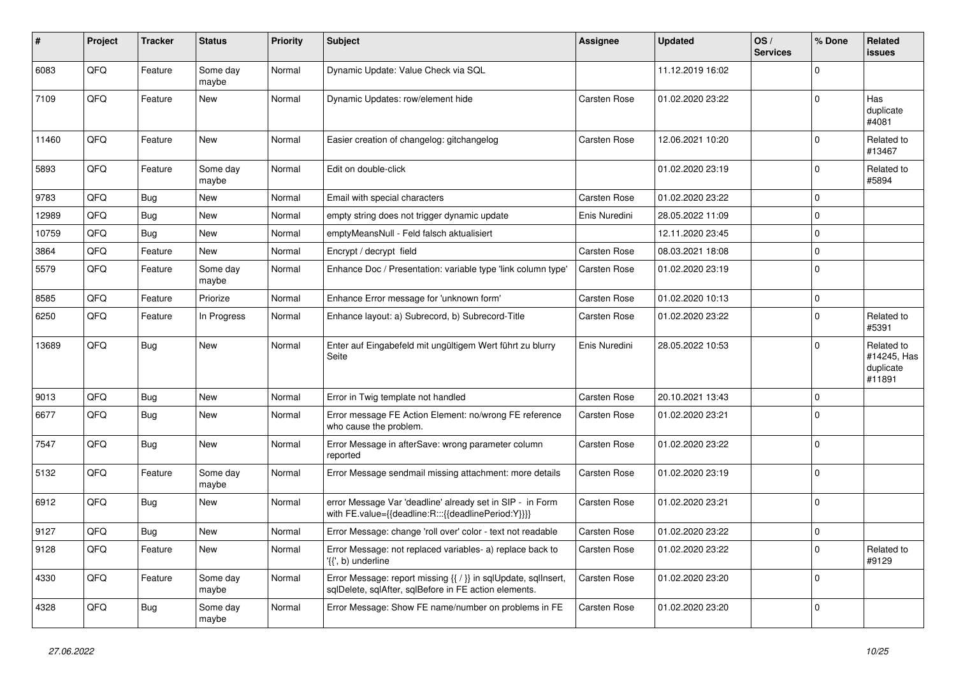| ∦     | Project | <b>Tracker</b> | <b>Status</b>     | <b>Priority</b> | <b>Subject</b>                                                                                                          | Assignee            | <b>Updated</b>   | OS/<br><b>Services</b> | % Done         | Related<br><b>issues</b>                         |
|-------|---------|----------------|-------------------|-----------------|-------------------------------------------------------------------------------------------------------------------------|---------------------|------------------|------------------------|----------------|--------------------------------------------------|
| 6083  | QFQ     | Feature        | Some day<br>maybe | Normal          | Dynamic Update: Value Check via SQL                                                                                     |                     | 11.12.2019 16:02 |                        | $\Omega$       |                                                  |
| 7109  | QFQ     | Feature        | <b>New</b>        | Normal          | Dynamic Updates: row/element hide                                                                                       | <b>Carsten Rose</b> | 01.02.2020 23:22 |                        | $\mathbf 0$    | Has<br>duplicate<br>#4081                        |
| 11460 | QFQ     | Feature        | <b>New</b>        | Normal          | Easier creation of changelog: gitchangelog                                                                              | Carsten Rose        | 12.06.2021 10:20 |                        | $\overline{0}$ | Related to<br>#13467                             |
| 5893  | QFQ     | Feature        | Some day<br>maybe | Normal          | Edit on double-click                                                                                                    |                     | 01.02.2020 23:19 |                        | $\Omega$       | Related to<br>#5894                              |
| 9783  | QFQ     | Bug            | <b>New</b>        | Normal          | Email with special characters                                                                                           | Carsten Rose        | 01.02.2020 23:22 |                        | $\overline{0}$ |                                                  |
| 12989 | QFQ     | Bug            | <b>New</b>        | Normal          | empty string does not trigger dynamic update                                                                            | Enis Nuredini       | 28.05.2022 11:09 |                        | $\Omega$       |                                                  |
| 10759 | QFQ     | Bug            | New               | Normal          | emptyMeansNull - Feld falsch aktualisiert                                                                               |                     | 12.11.2020 23:45 |                        | $\mathbf 0$    |                                                  |
| 3864  | QFQ     | Feature        | <b>New</b>        | Normal          | Encrypt / decrypt field                                                                                                 | Carsten Rose        | 08.03.2021 18:08 |                        | $\mathbf{0}$   |                                                  |
| 5579  | QFQ     | Feature        | Some day<br>maybe | Normal          | Enhance Doc / Presentation: variable type 'link column type'                                                            | Carsten Rose        | 01.02.2020 23:19 |                        | 0              |                                                  |
| 8585  | QFQ     | Feature        | Priorize          | Normal          | Enhance Error message for 'unknown form'                                                                                | Carsten Rose        | 01.02.2020 10:13 |                        | $\Omega$       |                                                  |
| 6250  | QFQ     | Feature        | In Progress       | Normal          | Enhance layout: a) Subrecord, b) Subrecord-Title                                                                        | Carsten Rose        | 01.02.2020 23:22 |                        | $\mathbf{0}$   | Related to<br>#5391                              |
| 13689 | QFQ     | <b>Bug</b>     | <b>New</b>        | Normal          | Enter auf Eingabefeld mit ungültigem Wert führt zu blurry<br>Seite                                                      | Enis Nuredini       | 28.05.2022 10:53 |                        | $\Omega$       | Related to<br>#14245, Has<br>duplicate<br>#11891 |
| 9013  | QFQ     | Bug            | <b>New</b>        | Normal          | Error in Twig template not handled                                                                                      | Carsten Rose        | 20.10.2021 13:43 |                        | $\mathbf 0$    |                                                  |
| 6677  | QFQ     | <b>Bug</b>     | New               | Normal          | Error message FE Action Element: no/wrong FE reference<br>who cause the problem.                                        | Carsten Rose        | 01.02.2020 23:21 |                        | $\Omega$       |                                                  |
| 7547  | QFQ     | <b>Bug</b>     | <b>New</b>        | Normal          | Error Message in afterSave: wrong parameter column<br>reported                                                          | Carsten Rose        | 01.02.2020 23:22 |                        | $\overline{0}$ |                                                  |
| 5132  | QFQ     | Feature        | Some day<br>maybe | Normal          | Error Message sendmail missing attachment: more details                                                                 | Carsten Rose        | 01.02.2020 23:19 |                        | $\overline{0}$ |                                                  |
| 6912  | QFQ     | Bug            | New               | Normal          | error Message Var 'deadline' already set in SIP - in Form<br>with FE.value={{deadline:R:::{{deadlinePeriod:Y}}}}        | Carsten Rose        | 01.02.2020 23:21 |                        | $\Omega$       |                                                  |
| 9127  | QFQ     | Bug            | New               | Normal          | Error Message: change 'roll over' color - text not readable                                                             | Carsten Rose        | 01.02.2020 23:22 |                        | $\mathbf 0$    |                                                  |
| 9128  | QFQ     | Feature        | <b>New</b>        | Normal          | Error Message: not replaced variables- a) replace back to<br>'{{', b) underline                                         | Carsten Rose        | 01.02.2020 23:22 |                        | $\Omega$       | Related to<br>#9129                              |
| 4330  | QFQ     | Feature        | Some day<br>maybe | Normal          | Error Message: report missing {{ / }} in sqlUpdate, sqlInsert,<br>sqlDelete, sqlAfter, sqlBefore in FE action elements. | Carsten Rose        | 01.02.2020 23:20 |                        | $\Omega$       |                                                  |
| 4328  | QFQ     | <b>Bug</b>     | Some day<br>maybe | Normal          | Error Message: Show FE name/number on problems in FE                                                                    | Carsten Rose        | 01.02.2020 23:20 |                        | $\Omega$       |                                                  |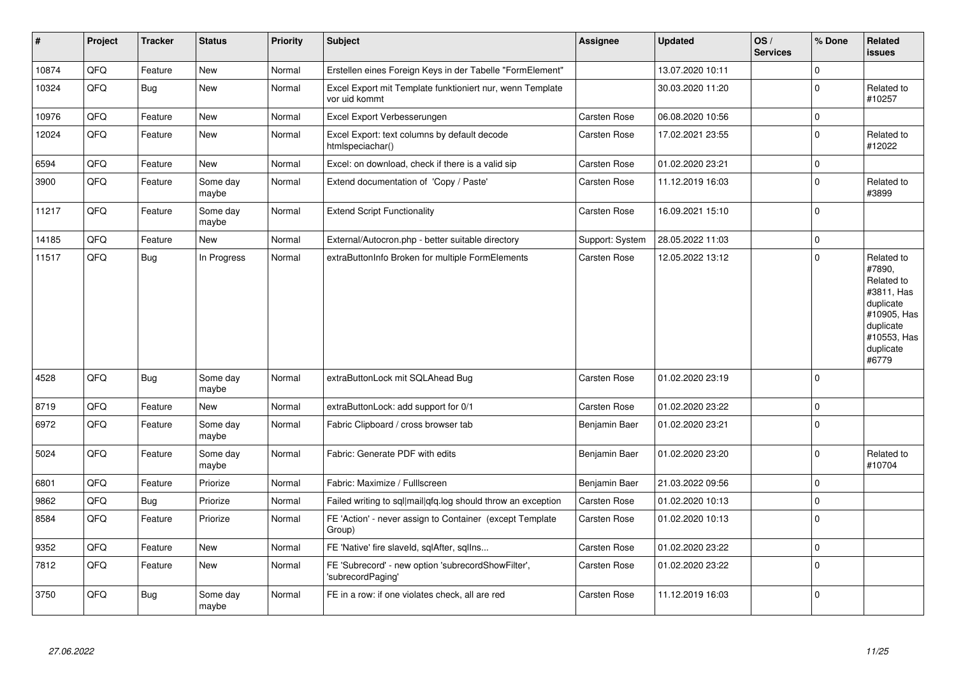| $\sharp$ | Project | <b>Tracker</b> | <b>Status</b>     | Priority | <b>Subject</b>                                                             | <b>Assignee</b>     | <b>Updated</b>   | OS/<br><b>Services</b> | % Done         | Related<br><b>issues</b>                                                                                                       |
|----------|---------|----------------|-------------------|----------|----------------------------------------------------------------------------|---------------------|------------------|------------------------|----------------|--------------------------------------------------------------------------------------------------------------------------------|
| 10874    | QFQ     | Feature        | <b>New</b>        | Normal   | Erstellen eines Foreign Keys in der Tabelle "FormElement"                  |                     | 13.07.2020 10:11 |                        | $\mathbf 0$    |                                                                                                                                |
| 10324    | QFQ     | Bug            | New               | Normal   | Excel Export mit Template funktioniert nur, wenn Template<br>vor uid kommt |                     | 30.03.2020 11:20 |                        | $\Omega$       | Related to<br>#10257                                                                                                           |
| 10976    | QFQ     | Feature        | <b>New</b>        | Normal   | Excel Export Verbesserungen                                                | Carsten Rose        | 06.08.2020 10:56 |                        | 0              |                                                                                                                                |
| 12024    | QFQ     | Feature        | New               | Normal   | Excel Export: text columns by default decode<br>htmlspeciachar()           | Carsten Rose        | 17.02.2021 23:55 |                        | $\mathbf 0$    | Related to<br>#12022                                                                                                           |
| 6594     | QFQ     | Feature        | New               | Normal   | Excel: on download, check if there is a valid sip                          | Carsten Rose        | 01.02.2020 23:21 |                        | $\mathbf 0$    |                                                                                                                                |
| 3900     | QFQ     | Feature        | Some day<br>maybe | Normal   | Extend documentation of 'Copy / Paste'                                     | Carsten Rose        | 11.12.2019 16:03 |                        | $\mathbf 0$    | Related to<br>#3899                                                                                                            |
| 11217    | QFQ     | Feature        | Some day<br>maybe | Normal   | <b>Extend Script Functionality</b>                                         | Carsten Rose        | 16.09.2021 15:10 |                        | $\Omega$       |                                                                                                                                |
| 14185    | QFQ     | Feature        | New               | Normal   | External/Autocron.php - better suitable directory                          | Support: System     | 28.05.2022 11:03 |                        | $\mathbf 0$    |                                                                                                                                |
| 11517    | QFQ     | <b>Bug</b>     | In Progress       | Normal   | extraButtonInfo Broken for multiple FormElements                           | Carsten Rose        | 12.05.2022 13:12 |                        | $\Omega$       | Related to<br>#7890,<br>Related to<br>#3811, Has<br>duplicate<br>#10905, Has<br>duplicate<br>#10553, Has<br>duplicate<br>#6779 |
| 4528     | QFQ     | Bug            | Some day<br>maybe | Normal   | extraButtonLock mit SQLAhead Bug                                           | <b>Carsten Rose</b> | 01.02.2020 23:19 |                        | $\overline{0}$ |                                                                                                                                |
| 8719     | QFQ     | Feature        | New               | Normal   | extraButtonLock: add support for 0/1                                       | Carsten Rose        | 01.02.2020 23:22 |                        | $\mathbf 0$    |                                                                                                                                |
| 6972     | QFQ     | Feature        | Some day<br>maybe | Normal   | Fabric Clipboard / cross browser tab                                       | Benjamin Baer       | 01.02.2020 23:21 |                        | $\Omega$       |                                                                                                                                |
| 5024     | QFQ     | Feature        | Some day<br>maybe | Normal   | Fabric: Generate PDF with edits                                            | Benjamin Baer       | 01.02.2020 23:20 |                        | $\Omega$       | Related to<br>#10704                                                                                                           |
| 6801     | QFQ     | Feature        | Priorize          | Normal   | Fabric: Maximize / Fulllscreen                                             | Benjamin Baer       | 21.03.2022 09:56 |                        | 0              |                                                                                                                                |
| 9862     | QFQ     | <b>Bug</b>     | Priorize          | Normal   | Failed writing to sql mail qfq.log should throw an exception               | Carsten Rose        | 01.02.2020 10:13 |                        | $\Omega$       |                                                                                                                                |
| 8584     | QFQ     | Feature        | Priorize          | Normal   | FE 'Action' - never assign to Container (except Template<br>Group)         | Carsten Rose        | 01.02.2020 10:13 |                        | $\Omega$       |                                                                                                                                |
| 9352     | QFQ     | Feature        | <b>New</b>        | Normal   | FE 'Native' fire slaveld, sqlAfter, sqllns                                 | Carsten Rose        | 01.02.2020 23:22 |                        | $\mathbf 0$    |                                                                                                                                |
| 7812     | QFQ     | Feature        | New               | Normal   | FE 'Subrecord' - new option 'subrecordShowFilter',<br>'subrecordPaging'    | Carsten Rose        | 01.02.2020 23:22 |                        | $\Omega$       |                                                                                                                                |
| 3750     | QFQ     | Bug            | Some day<br>maybe | Normal   | FE in a row: if one violates check, all are red                            | Carsten Rose        | 11.12.2019 16:03 |                        | $\Omega$       |                                                                                                                                |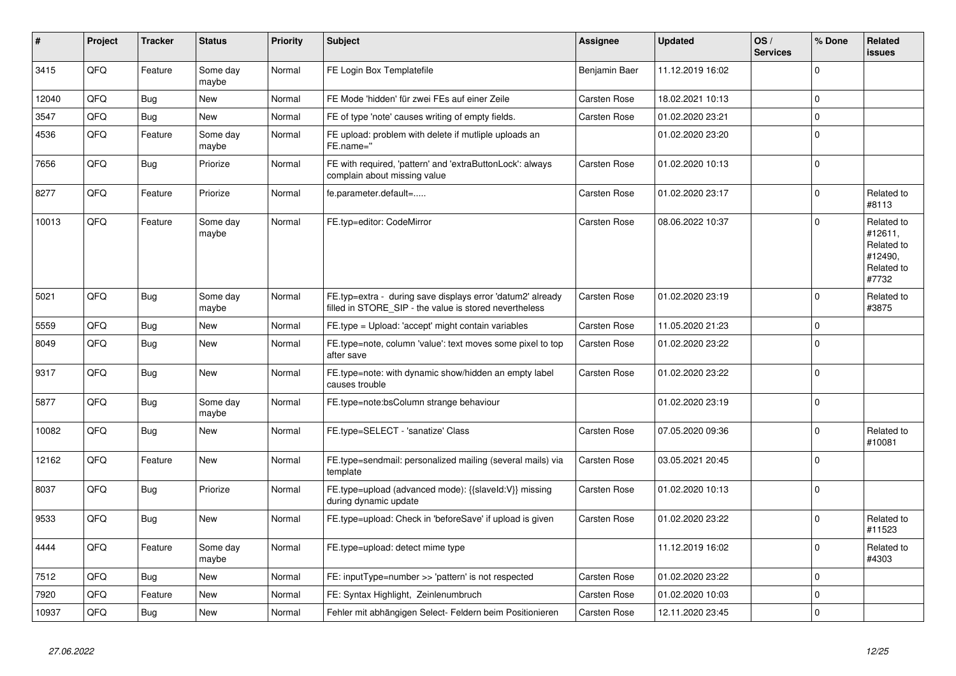| #     | Project    | <b>Tracker</b> | <b>Status</b>     | <b>Priority</b> | <b>Subject</b>                                                                                                       | Assignee      | <b>Updated</b>   | OS/<br><b>Services</b> | % Done         | Related<br><b>issues</b>                                              |
|-------|------------|----------------|-------------------|-----------------|----------------------------------------------------------------------------------------------------------------------|---------------|------------------|------------------------|----------------|-----------------------------------------------------------------------|
| 3415  | QFQ        | Feature        | Some day<br>maybe | Normal          | FE Login Box Templatefile                                                                                            | Benjamin Baer | 11.12.2019 16:02 |                        | $\mathbf 0$    |                                                                       |
| 12040 | QFQ        | Bug            | <b>New</b>        | Normal          | FE Mode 'hidden' für zwei FEs auf einer Zeile                                                                        | Carsten Rose  | 18.02.2021 10:13 |                        | $\overline{0}$ |                                                                       |
| 3547  | QFQ        | Bug            | <b>New</b>        | Normal          | FE of type 'note' causes writing of empty fields.                                                                    | Carsten Rose  | 01.02.2020 23:21 |                        | $\mathbf 0$    |                                                                       |
| 4536  | QFQ        | Feature        | Some day<br>maybe | Normal          | FE upload: problem with delete if mutliple uploads an<br>FE.name="                                                   |               | 01.02.2020 23:20 |                        | $\mathbf{0}$   |                                                                       |
| 7656  | QFQ        | Bug            | Priorize          | Normal          | FE with required, 'pattern' and 'extraButtonLock': always<br>complain about missing value                            | Carsten Rose  | 01.02.2020 10:13 |                        | $\overline{0}$ |                                                                       |
| 8277  | QFQ        | Feature        | Priorize          | Normal          | fe.parameter.default=                                                                                                | Carsten Rose  | 01.02.2020 23:17 |                        | $\mathbf 0$    | Related to<br>#8113                                                   |
| 10013 | QFQ        | Feature        | Some day<br>maybe | Normal          | FE.typ=editor: CodeMirror                                                                                            | Carsten Rose  | 08.06.2022 10:37 |                        | $\mathbf 0$    | Related to<br>#12611,<br>Related to<br>#12490,<br>Related to<br>#7732 |
| 5021  | QFQ        | Bug            | Some day<br>maybe | Normal          | FE.typ=extra - during save displays error 'datum2' already<br>filled in STORE_SIP - the value is stored nevertheless | Carsten Rose  | 01.02.2020 23:19 |                        | $\mathbf 0$    | Related to<br>#3875                                                   |
| 5559  | QFQ        | <b>Bug</b>     | New               | Normal          | FE.type = Upload: 'accept' might contain variables                                                                   | Carsten Rose  | 11.05.2020 21:23 |                        | $\overline{0}$ |                                                                       |
| 8049  | QFQ        | Bug            | New               | Normal          | FE.type=note, column 'value': text moves some pixel to top<br>after save                                             | Carsten Rose  | 01.02.2020 23:22 |                        | $\overline{0}$ |                                                                       |
| 9317  | QFQ        | <b>Bug</b>     | <b>New</b>        | Normal          | FE.type=note: with dynamic show/hidden an empty label<br>causes trouble                                              | Carsten Rose  | 01.02.2020 23:22 |                        | $\mathbf 0$    |                                                                       |
| 5877  | QFQ        | <b>Bug</b>     | Some day<br>maybe | Normal          | FE.type=note:bsColumn strange behaviour                                                                              |               | 01.02.2020 23:19 |                        | $\overline{0}$ |                                                                       |
| 10082 | QFQ        | <b>Bug</b>     | New               | Normal          | FE.type=SELECT - 'sanatize' Class                                                                                    | Carsten Rose  | 07.05.2020 09:36 |                        | $\overline{0}$ | Related to<br>#10081                                                  |
| 12162 | QFQ        | Feature        | New               | Normal          | FE.type=sendmail: personalized mailing (several mails) via<br>template                                               | Carsten Rose  | 03.05.2021 20:45 |                        | $\mathbf 0$    |                                                                       |
| 8037  | QFQ        | Bug            | Priorize          | Normal          | FE.type=upload (advanced mode): {{slaveId:V}} missing<br>during dynamic update                                       | Carsten Rose  | 01.02.2020 10:13 |                        | $\overline{0}$ |                                                                       |
| 9533  | QFQ        | Bug            | <b>New</b>        | Normal          | FE.type=upload: Check in 'beforeSave' if upload is given                                                             | Carsten Rose  | 01.02.2020 23:22 |                        | $\overline{0}$ | Related to<br>#11523                                                  |
| 4444  | <b>OFO</b> | Feature        | Some day<br>maybe | Normal          | FE.type=upload: detect mime type                                                                                     |               | 11.12.2019 16:02 |                        | $\pmb{0}$      | Related to<br>#4303                                                   |
| 7512  | QFQ        | Bug            | New               | Normal          | FE: inputType=number >> 'pattern' is not respected                                                                   | Carsten Rose  | 01.02.2020 23:22 |                        | $\mathbf 0$    |                                                                       |
| 7920  | QFQ        | Feature        | <b>New</b>        | Normal          | FE: Syntax Highlight, Zeinlenumbruch                                                                                 | Carsten Rose  | 01.02.2020 10:03 |                        | $\overline{0}$ |                                                                       |
| 10937 | QFQ        | Bug            | <b>New</b>        | Normal          | Fehler mit abhängigen Select- Feldern beim Positionieren                                                             | Carsten Rose  | 12.11.2020 23:45 |                        | $\overline{0}$ |                                                                       |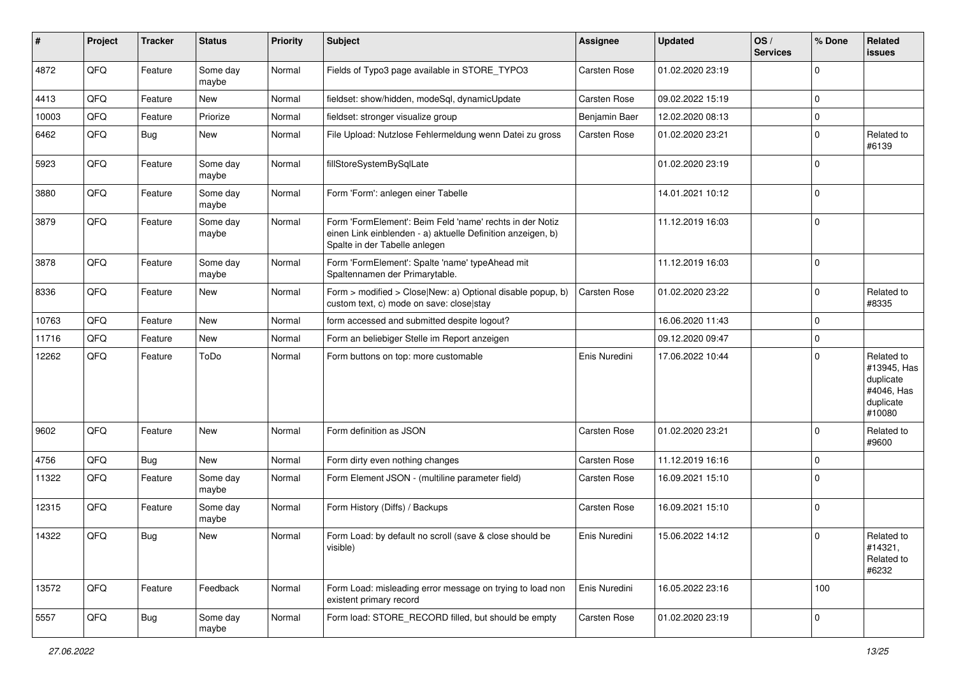| ∦     | Project | <b>Tracker</b> | <b>Status</b>     | <b>Priority</b> | <b>Subject</b>                                                                                                                                           | <b>Assignee</b> | <b>Updated</b>   | OS/<br><b>Services</b> | % Done         | Related<br><b>issues</b>                                                    |
|-------|---------|----------------|-------------------|-----------------|----------------------------------------------------------------------------------------------------------------------------------------------------------|-----------------|------------------|------------------------|----------------|-----------------------------------------------------------------------------|
| 4872  | QFQ     | Feature        | Some day<br>maybe | Normal          | Fields of Typo3 page available in STORE_TYPO3                                                                                                            | Carsten Rose    | 01.02.2020 23:19 |                        | $\mathbf 0$    |                                                                             |
| 4413  | QFQ     | Feature        | New               | Normal          | fieldset: show/hidden, modeSql, dynamicUpdate                                                                                                            | Carsten Rose    | 09.02.2022 15:19 |                        | $\mathbf 0$    |                                                                             |
| 10003 | QFQ     | Feature        | Priorize          | Normal          | fieldset: stronger visualize group                                                                                                                       | Benjamin Baer   | 12.02.2020 08:13 |                        | $\mathbf 0$    |                                                                             |
| 6462  | QFQ     | <b>Bug</b>     | <b>New</b>        | Normal          | File Upload: Nutzlose Fehlermeldung wenn Datei zu gross                                                                                                  | Carsten Rose    | 01.02.2020 23:21 |                        | $\mathbf 0$    | Related to<br>#6139                                                         |
| 5923  | QFQ     | Feature        | Some day<br>maybe | Normal          | fillStoreSystemBySqlLate                                                                                                                                 |                 | 01.02.2020 23:19 |                        | $\overline{0}$ |                                                                             |
| 3880  | QFQ     | Feature        | Some day<br>maybe | Normal          | Form 'Form': anlegen einer Tabelle                                                                                                                       |                 | 14.01.2021 10:12 |                        | $\overline{0}$ |                                                                             |
| 3879  | QFQ     | Feature        | Some day<br>maybe | Normal          | Form 'FormElement': Beim Feld 'name' rechts in der Notiz<br>einen Link einblenden - a) aktuelle Definition anzeigen, b)<br>Spalte in der Tabelle anlegen |                 | 11.12.2019 16:03 |                        | $\overline{0}$ |                                                                             |
| 3878  | QFQ     | Feature        | Some day<br>maybe | Normal          | Form 'FormElement': Spalte 'name' typeAhead mit<br>Spaltennamen der Primarytable.                                                                        |                 | 11.12.2019 16:03 |                        | $\overline{0}$ |                                                                             |
| 8336  | QFQ     | Feature        | <b>New</b>        | Normal          | Form > modified > Close New: a) Optional disable popup, b)<br>custom text, c) mode on save: close stay                                                   | Carsten Rose    | 01.02.2020 23:22 |                        | $\overline{0}$ | Related to<br>#8335                                                         |
| 10763 | QFQ     | Feature        | New               | Normal          | form accessed and submitted despite logout?                                                                                                              |                 | 16.06.2020 11:43 |                        | $\mathbf 0$    |                                                                             |
| 11716 | QFQ     | Feature        | New               | Normal          | Form an beliebiger Stelle im Report anzeigen                                                                                                             |                 | 09.12.2020 09:47 |                        | $\mathbf 0$    |                                                                             |
| 12262 | QFQ     | Feature        | ToDo              | Normal          | Form buttons on top: more customable                                                                                                                     | Enis Nuredini   | 17.06.2022 10:44 |                        | $\Omega$       | Related to<br>#13945, Has<br>duplicate<br>#4046, Has<br>duplicate<br>#10080 |
| 9602  | QFQ     | Feature        | <b>New</b>        | Normal          | Form definition as JSON                                                                                                                                  | Carsten Rose    | 01.02.2020 23:21 |                        | $\Omega$       | Related to<br>#9600                                                         |
| 4756  | QFQ     | Bug            | New               | Normal          | Form dirty even nothing changes                                                                                                                          | Carsten Rose    | 11.12.2019 16:16 |                        | $\mathbf 0$    |                                                                             |
| 11322 | QFQ     | Feature        | Some day<br>maybe | Normal          | Form Element JSON - (multiline parameter field)                                                                                                          | Carsten Rose    | 16.09.2021 15:10 |                        | $\overline{0}$ |                                                                             |
| 12315 | QFQ     | Feature        | Some day<br>maybe | Normal          | Form History (Diffs) / Backups                                                                                                                           | Carsten Rose    | 16.09.2021 15:10 |                        | $\overline{0}$ |                                                                             |
| 14322 | QFQ     | Bug            | <b>New</b>        | Normal          | Form Load: by default no scroll (save & close should be<br>visible)                                                                                      | Enis Nuredini   | 15.06.2022 14:12 |                        | $\overline{0}$ | Related to<br>#14321,<br>Related to<br>#6232                                |
| 13572 | QFQ     | Feature        | Feedback          | Normal          | Form Load: misleading error message on trying to load non<br>existent primary record                                                                     | Enis Nuredini   | 16.05.2022 23:16 |                        | 100            |                                                                             |
| 5557  | QFO     | <b>Bug</b>     | Some day<br>maybe | Normal          | Form load: STORE_RECORD filled, but should be empty                                                                                                      | Carsten Rose    | 01.02.2020 23:19 |                        | $\mathbf 0$    |                                                                             |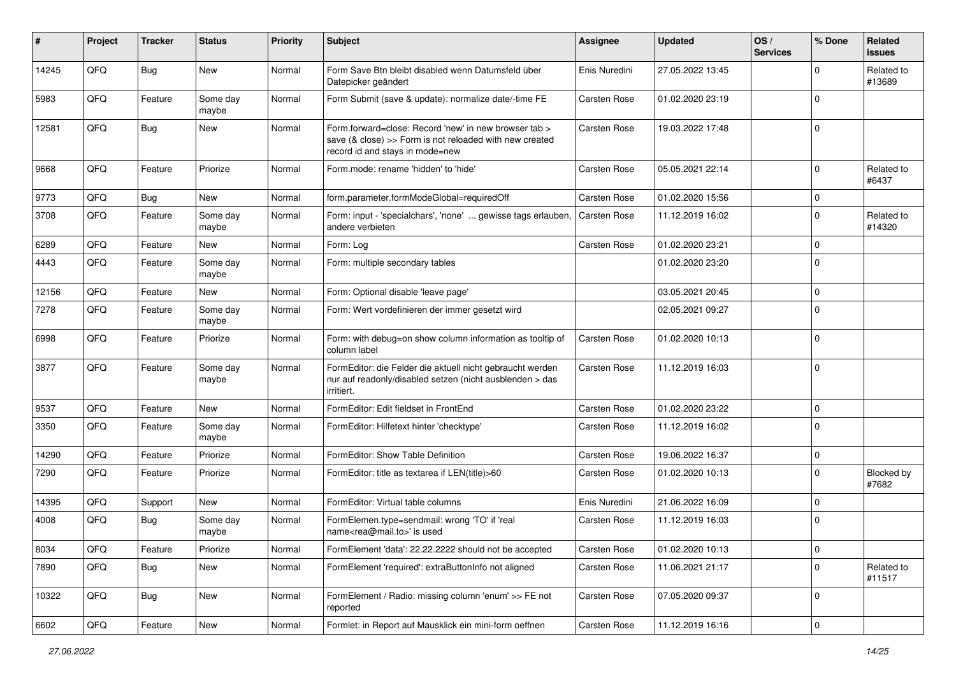| #     | Project | <b>Tracker</b> | <b>Status</b>     | <b>Priority</b> | <b>Subject</b>                                                                                                                                      | <b>Assignee</b>     | <b>Updated</b>   | OS/<br><b>Services</b> | % Done         | Related<br><b>issues</b> |
|-------|---------|----------------|-------------------|-----------------|-----------------------------------------------------------------------------------------------------------------------------------------------------|---------------------|------------------|------------------------|----------------|--------------------------|
| 14245 | QFQ     | <b>Bug</b>     | New               | Normal          | Form Save Btn bleibt disabled wenn Datumsfeld über<br>Datepicker geändert                                                                           | Enis Nuredini       | 27.05.2022 13:45 |                        | $\Omega$       | Related to<br>#13689     |
| 5983  | QFQ     | Feature        | Some day<br>maybe | Normal          | Form Submit (save & update): normalize date/-time FE                                                                                                | Carsten Rose        | 01.02.2020 23:19 |                        | $\overline{0}$ |                          |
| 12581 | QFQ     | Bug            | <b>New</b>        | Normal          | Form.forward=close: Record 'new' in new browser tab ><br>save (& close) >> Form is not reloaded with new created<br>record id and stays in mode=new | Carsten Rose        | 19.03.2022 17:48 |                        | $\mathbf 0$    |                          |
| 9668  | QFQ     | Feature        | Priorize          | Normal          | Form.mode: rename 'hidden' to 'hide'                                                                                                                | Carsten Rose        | 05.05.2021 22:14 |                        | $\mathbf 0$    | Related to<br>#6437      |
| 9773  | QFQ     | Bug            | New               | Normal          | form.parameter.formModeGlobal=requiredOff                                                                                                           | Carsten Rose        | 01.02.2020 15:56 |                        | $\mathbf 0$    |                          |
| 3708  | QFQ     | Feature        | Some day<br>maybe | Normal          | Form: input - 'specialchars', 'none'  gewisse tags erlauben,<br>andere verbieten                                                                    | <b>Carsten Rose</b> | 11.12.2019 16:02 |                        | $\overline{0}$ | Related to<br>#14320     |
| 6289  | QFQ     | Feature        | <b>New</b>        | Normal          | Form: Log                                                                                                                                           | Carsten Rose        | 01.02.2020 23:21 |                        | $\mathbf 0$    |                          |
| 4443  | QFQ     | Feature        | Some day<br>maybe | Normal          | Form: multiple secondary tables                                                                                                                     |                     | 01.02.2020 23:20 |                        | $\overline{0}$ |                          |
| 12156 | QFQ     | Feature        | New               | Normal          | Form: Optional disable 'leave page'                                                                                                                 |                     | 03.05.2021 20:45 |                        | $\mathbf 0$    |                          |
| 7278  | QFQ     | Feature        | Some day<br>maybe | Normal          | Form: Wert vordefinieren der immer gesetzt wird                                                                                                     |                     | 02.05.2021 09:27 |                        | $\Omega$       |                          |
| 6998  | QFQ     | Feature        | Priorize          | Normal          | Form: with debug=on show column information as tooltip of<br>column label                                                                           | Carsten Rose        | 01.02.2020 10:13 |                        | $\overline{0}$ |                          |
| 3877  | QFQ     | Feature        | Some day<br>maybe | Normal          | FormEditor: die Felder die aktuell nicht gebraucht werden<br>nur auf readonly/disabled setzen (nicht ausblenden > das<br>irritiert.                 | Carsten Rose        | 11.12.2019 16:03 |                        | $\overline{0}$ |                          |
| 9537  | QFQ     | Feature        | <b>New</b>        | Normal          | FormEditor: Edit fieldset in FrontEnd                                                                                                               | Carsten Rose        | 01.02.2020 23:22 |                        | $\mathbf 0$    |                          |
| 3350  | QFQ     | Feature        | Some day<br>maybe | Normal          | FormEditor: Hilfetext hinter 'checktype'                                                                                                            | Carsten Rose        | 11.12.2019 16:02 |                        | $\overline{0}$ |                          |
| 14290 | QFQ     | Feature        | Priorize          | Normal          | FormEditor: Show Table Definition                                                                                                                   | Carsten Rose        | 19.06.2022 16:37 |                        | $\mathbf 0$    |                          |
| 7290  | QFQ     | Feature        | Priorize          | Normal          | FormEditor: title as textarea if LEN(title)>60                                                                                                      | Carsten Rose        | 01.02.2020 10:13 |                        | $\Omega$       | Blocked by<br>#7682      |
| 14395 | QFQ     | Support        | New               | Normal          | FormEditor: Virtual table columns                                                                                                                   | Enis Nuredini       | 21.06.2022 16:09 |                        | $\mathbf 0$    |                          |
| 4008  | QFQ     | Bug            | Some day<br>maybe | Normal          | FormElemen.type=sendmail: wrong 'TO' if 'real<br>name <rea@mail.to>' is used</rea@mail.to>                                                          | Carsten Rose        | 11.12.2019 16:03 |                        | $\mathbf 0$    |                          |
| 8034  | QFO     | Feature        | Priorize          | Normal          | FormElement 'data': 22.22.2222 should not be accepted                                                                                               | Carsten Rose        | 01.02.2020 10:13 |                        | $\pmb{0}$      |                          |
| 7890  | QFQ     | <b>Bug</b>     | New               | Normal          | FormElement 'required': extraButtonInfo not aligned                                                                                                 | Carsten Rose        | 11.06.2021 21:17 |                        | $\mathbf 0$    | Related to<br>#11517     |
| 10322 | QFQ     | Bug            | New               | Normal          | FormElement / Radio: missing column 'enum' >> FE not<br>reported                                                                                    | Carsten Rose        | 07.05.2020 09:37 |                        | $\mathbf 0$    |                          |
| 6602  | QFG     | Feature        | New               | Normal          | Formlet: in Report auf Mausklick ein mini-form oeffnen                                                                                              | Carsten Rose        | 11.12.2019 16:16 |                        | $\pmb{0}$      |                          |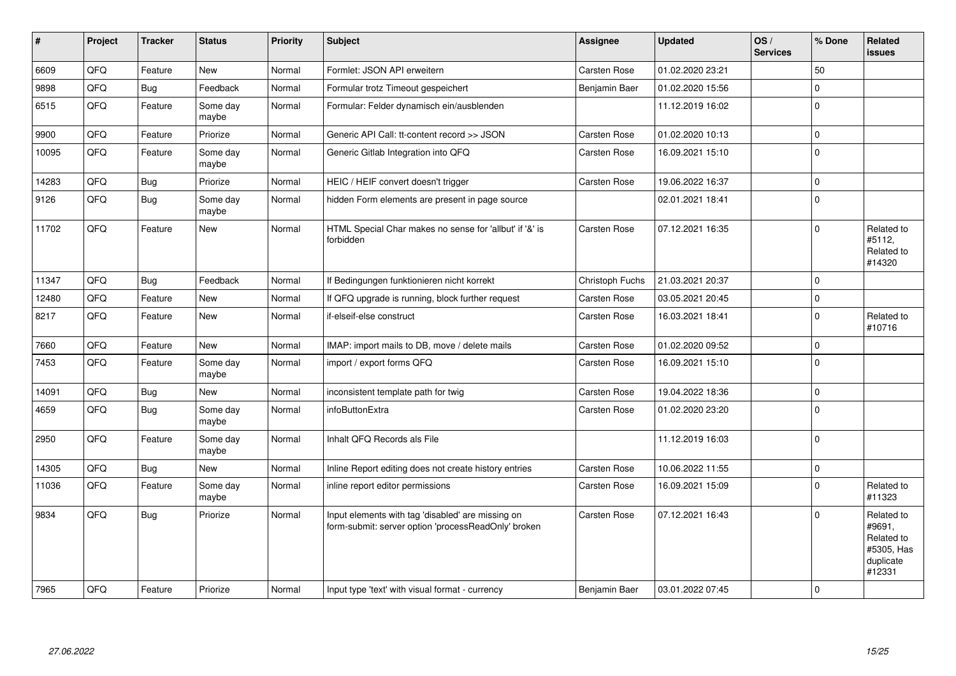| $\sharp$ | Project | <b>Tracker</b> | <b>Status</b>     | Priority | <b>Subject</b>                                                                                           | Assignee        | <b>Updated</b>   | OS/<br><b>Services</b> | % Done         | <b>Related</b><br><b>issues</b>                                         |
|----------|---------|----------------|-------------------|----------|----------------------------------------------------------------------------------------------------------|-----------------|------------------|------------------------|----------------|-------------------------------------------------------------------------|
| 6609     | QFQ     | Feature        | <b>New</b>        | Normal   | Formlet: JSON API erweitern                                                                              | Carsten Rose    | 01.02.2020 23:21 |                        | 50             |                                                                         |
| 9898     | QFQ     | <b>Bug</b>     | Feedback          | Normal   | Formular trotz Timeout gespeichert                                                                       | Benjamin Baer   | 01.02.2020 15:56 |                        | $\pmb{0}$      |                                                                         |
| 6515     | QFQ     | Feature        | Some day<br>maybe | Normal   | Formular: Felder dynamisch ein/ausblenden                                                                |                 | 11.12.2019 16:02 |                        | $\overline{0}$ |                                                                         |
| 9900     | QFQ     | Feature        | Priorize          | Normal   | Generic API Call: tt-content record >> JSON                                                              | Carsten Rose    | 01.02.2020 10:13 |                        | $\pmb{0}$      |                                                                         |
| 10095    | QFQ     | Feature        | Some day<br>maybe | Normal   | Generic Gitlab Integration into QFQ                                                                      | Carsten Rose    | 16.09.2021 15:10 |                        | $\overline{0}$ |                                                                         |
| 14283    | QFQ     | Bug            | Priorize          | Normal   | HEIC / HEIF convert doesn't trigger                                                                      | Carsten Rose    | 19.06.2022 16:37 |                        | $\pmb{0}$      |                                                                         |
| 9126     | QFQ     | Bug            | Some day<br>maybe | Normal   | hidden Form elements are present in page source                                                          |                 | 02.01.2021 18:41 |                        | $\mathbf{0}$   |                                                                         |
| 11702    | QFQ     | Feature        | <b>New</b>        | Normal   | HTML Special Char makes no sense for 'allbut' if '&' is<br>forbidden                                     | Carsten Rose    | 07.12.2021 16:35 |                        | $\overline{0}$ | Related to<br>#5112.<br>Related to<br>#14320                            |
| 11347    | QFQ     | Bug            | Feedback          | Normal   | If Bedingungen funktionieren nicht korrekt                                                               | Christoph Fuchs | 21.03.2021 20:37 |                        | $\overline{0}$ |                                                                         |
| 12480    | QFQ     | Feature        | New               | Normal   | If QFQ upgrade is running, block further request                                                         | Carsten Rose    | 03.05.2021 20:45 |                        | $\mathbf 0$    |                                                                         |
| 8217     | QFQ     | Feature        | <b>New</b>        | Normal   | if-elseif-else construct                                                                                 | Carsten Rose    | 16.03.2021 18:41 |                        | $\overline{0}$ | Related to<br>#10716                                                    |
| 7660     | QFQ     | Feature        | <b>New</b>        | Normal   | IMAP: import mails to DB, move / delete mails                                                            | Carsten Rose    | 01.02.2020 09:52 |                        | $\overline{0}$ |                                                                         |
| 7453     | QFQ     | Feature        | Some day<br>maybe | Normal   | import / export forms QFQ                                                                                | Carsten Rose    | 16.09.2021 15:10 |                        | $\overline{0}$ |                                                                         |
| 14091    | QFQ     | Bug            | <b>New</b>        | Normal   | inconsistent template path for twig                                                                      | Carsten Rose    | 19.04.2022 18:36 |                        | $\overline{0}$ |                                                                         |
| 4659     | QFQ     | <b>Bug</b>     | Some day<br>maybe | Normal   | infoButtonExtra                                                                                          | Carsten Rose    | 01.02.2020 23:20 |                        | $\overline{0}$ |                                                                         |
| 2950     | QFQ     | Feature        | Some day<br>maybe | Normal   | Inhalt QFQ Records als File                                                                              |                 | 11.12.2019 16:03 |                        | $\overline{0}$ |                                                                         |
| 14305    | QFQ     | Bug            | <b>New</b>        | Normal   | Inline Report editing does not create history entries                                                    | Carsten Rose    | 10.06.2022 11:55 |                        | $\pmb{0}$      |                                                                         |
| 11036    | QFQ     | Feature        | Some day<br>maybe | Normal   | inline report editor permissions                                                                         | Carsten Rose    | 16.09.2021 15:09 |                        | $\overline{0}$ | Related to<br>#11323                                                    |
| 9834     | QFQ     | Bug            | Priorize          | Normal   | Input elements with tag 'disabled' are missing on<br>form-submit: server option 'processReadOnly' broken | Carsten Rose    | 07.12.2021 16:43 |                        | $\Omega$       | Related to<br>#9691,<br>Related to<br>#5305, Has<br>duplicate<br>#12331 |
| 7965     | QFQ     | Feature        | Priorize          | Normal   | Input type 'text' with visual format - currency                                                          | Benjamin Baer   | 03.01.2022 07:45 |                        | $\mathbf 0$    |                                                                         |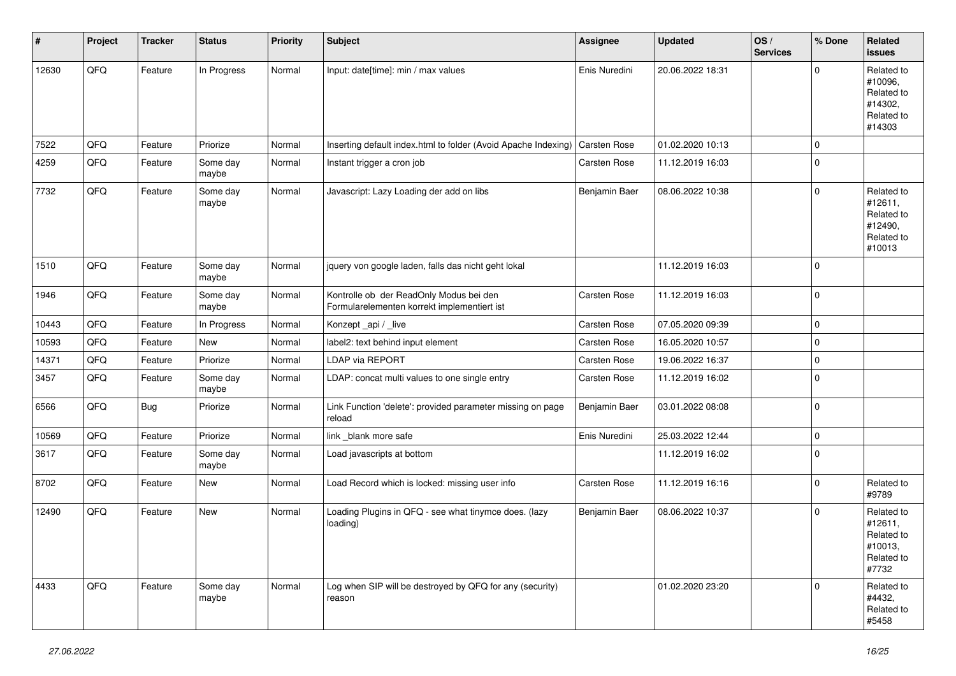| #     | Project | <b>Tracker</b> | <b>Status</b>     | <b>Priority</b> | <b>Subject</b>                                                                         | <b>Assignee</b>     | <b>Updated</b>   | OS/<br><b>Services</b> | % Done       | Related<br><b>issues</b>                                               |
|-------|---------|----------------|-------------------|-----------------|----------------------------------------------------------------------------------------|---------------------|------------------|------------------------|--------------|------------------------------------------------------------------------|
| 12630 | QFQ     | Feature        | In Progress       | Normal          | Input: date[time]: min / max values                                                    | Enis Nuredini       | 20.06.2022 18:31 |                        | $\Omega$     | Related to<br>#10096,<br>Related to<br>#14302,<br>Related to<br>#14303 |
| 7522  | QFQ     | Feature        | Priorize          | Normal          | Inserting default index.html to folder (Avoid Apache Indexing)                         | <b>Carsten Rose</b> | 01.02.2020 10:13 |                        | $\mathbf 0$  |                                                                        |
| 4259  | QFQ     | Feature        | Some day<br>maybe | Normal          | Instant trigger a cron job                                                             | Carsten Rose        | 11.12.2019 16:03 |                        | $\mathbf 0$  |                                                                        |
| 7732  | QFQ     | Feature        | Some day<br>maybe | Normal          | Javascript: Lazy Loading der add on libs                                               | Benjamin Baer       | 08.06.2022 10:38 |                        | $\Omega$     | Related to<br>#12611.<br>Related to<br>#12490,<br>Related to<br>#10013 |
| 1510  | QFQ     | Feature        | Some day<br>maybe | Normal          | jquery von google laden, falls das nicht geht lokal                                    |                     | 11.12.2019 16:03 |                        | $\mathbf 0$  |                                                                        |
| 1946  | QFQ     | Feature        | Some day<br>maybe | Normal          | Kontrolle ob der ReadOnly Modus bei den<br>Formularelementen korrekt implementiert ist | Carsten Rose        | 11.12.2019 16:03 |                        | $\mathbf{0}$ |                                                                        |
| 10443 | QFQ     | Feature        | In Progress       | Normal          | Konzept_api / _live                                                                    | Carsten Rose        | 07.05.2020 09:39 |                        | $\mathbf 0$  |                                                                        |
| 10593 | QFQ     | Feature        | New               | Normal          | label2: text behind input element                                                      | Carsten Rose        | 16.05.2020 10:57 |                        | $\mathbf 0$  |                                                                        |
| 14371 | QFQ     | Feature        | Priorize          | Normal          | <b>LDAP via REPORT</b>                                                                 | Carsten Rose        | 19.06.2022 16:37 |                        | $\mathbf 0$  |                                                                        |
| 3457  | QFQ     | Feature        | Some day<br>maybe | Normal          | LDAP: concat multi values to one single entry                                          | Carsten Rose        | 11.12.2019 16:02 |                        | $\mathbf 0$  |                                                                        |
| 6566  | QFQ     | Bug            | Priorize          | Normal          | Link Function 'delete': provided parameter missing on page<br>reload                   | Benjamin Baer       | 03.01.2022 08:08 |                        | $\mathbf 0$  |                                                                        |
| 10569 | QFQ     | Feature        | Priorize          | Normal          | link _blank more safe                                                                  | Enis Nuredini       | 25.03.2022 12:44 |                        | $\mathbf 0$  |                                                                        |
| 3617  | QFQ     | Feature        | Some day<br>maybe | Normal          | Load javascripts at bottom                                                             |                     | 11.12.2019 16:02 |                        | $\Omega$     |                                                                        |
| 8702  | QFQ     | Feature        | <b>New</b>        | Normal          | Load Record which is locked: missing user info                                         | Carsten Rose        | 11.12.2019 16:16 |                        | $\mathbf 0$  | Related to<br>#9789                                                    |
| 12490 | QFQ     | Feature        | <b>New</b>        | Normal          | Loading Plugins in QFQ - see what tinymce does. (lazy<br>loading)                      | Benjamin Baer       | 08.06.2022 10:37 |                        | $\Omega$     | Related to<br>#12611,<br>Related to<br>#10013,<br>Related to<br>#7732  |
| 4433  | QFQ     | Feature        | Some day<br>maybe | Normal          | Log when SIP will be destroyed by QFQ for any (security)<br>reason                     |                     | 01.02.2020 23:20 |                        | $\Omega$     | Related to<br>#4432,<br>Related to<br>#5458                            |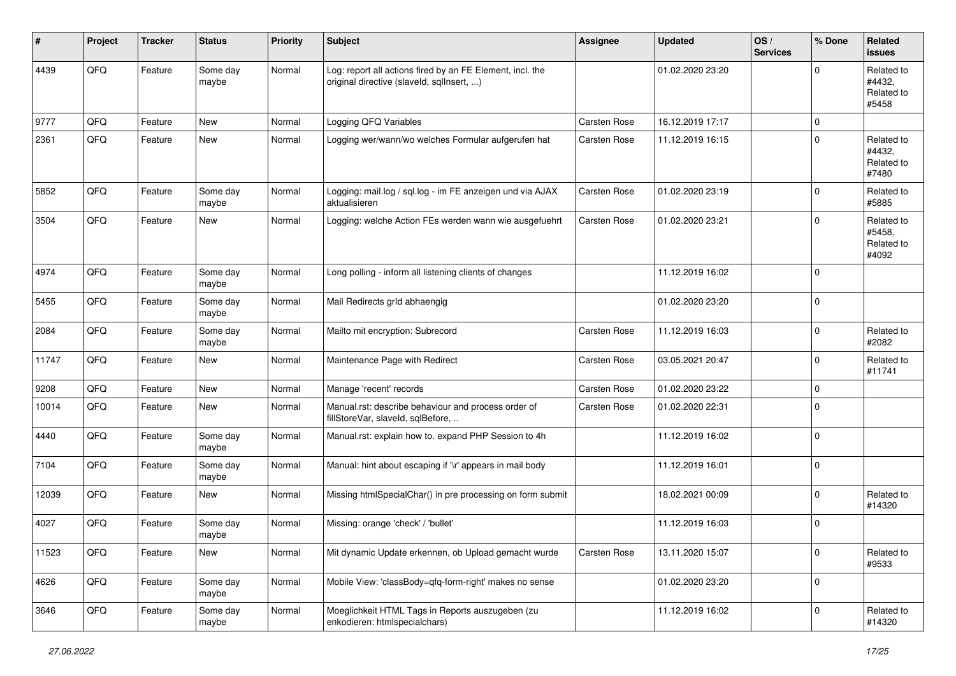| #     | Project | <b>Tracker</b> | <b>Status</b>     | <b>Priority</b> | <b>Subject</b>                                                                                         | <b>Assignee</b>     | <b>Updated</b>   | OS/<br><b>Services</b> | % Done      | Related<br><b>issues</b>                    |
|-------|---------|----------------|-------------------|-----------------|--------------------------------------------------------------------------------------------------------|---------------------|------------------|------------------------|-------------|---------------------------------------------|
| 4439  | QFQ     | Feature        | Some day<br>maybe | Normal          | Log: report all actions fired by an FE Element, incl. the<br>original directive (slaveld, sqllnsert, ) |                     | 01.02.2020 23:20 |                        | $\mathbf 0$ | Related to<br>#4432.<br>Related to<br>#5458 |
| 9777  | QFQ     | Feature        | New               | Normal          | Logging QFQ Variables                                                                                  | Carsten Rose        | 16.12.2019 17:17 |                        | $\mathbf 0$ |                                             |
| 2361  | QFQ     | Feature        | New               | Normal          | Logging wer/wann/wo welches Formular aufgerufen hat                                                    | Carsten Rose        | 11.12.2019 16:15 |                        | $\mathbf 0$ | Related to<br>#4432.<br>Related to<br>#7480 |
| 5852  | QFQ     | Feature        | Some day<br>maybe | Normal          | Logging: mail.log / sql.log - im FE anzeigen und via AJAX<br>aktualisieren                             | <b>Carsten Rose</b> | 01.02.2020 23:19 |                        | $\mathbf 0$ | Related to<br>#5885                         |
| 3504  | QFQ     | Feature        | New               | Normal          | Logging: welche Action FEs werden wann wie ausgefuehrt                                                 | <b>Carsten Rose</b> | 01.02.2020 23:21 |                        | $\mathbf 0$ | Related to<br>#5458.<br>Related to<br>#4092 |
| 4974  | QFQ     | Feature        | Some day<br>maybe | Normal          | Long polling - inform all listening clients of changes                                                 |                     | 11.12.2019 16:02 |                        | $\mathbf 0$ |                                             |
| 5455  | QFQ     | Feature        | Some day<br>maybe | Normal          | Mail Redirects grld abhaengig                                                                          |                     | 01.02.2020 23:20 |                        | $\mathbf 0$ |                                             |
| 2084  | QFQ     | Feature        | Some day<br>maybe | Normal          | Mailto mit encryption: Subrecord                                                                       | Carsten Rose        | 11.12.2019 16:03 |                        | $\mathbf 0$ | Related to<br>#2082                         |
| 11747 | QFQ     | Feature        | New               | Normal          | Maintenance Page with Redirect                                                                         | <b>Carsten Rose</b> | 03.05.2021 20:47 |                        | $\mathbf 0$ | Related to<br>#11741                        |
| 9208  | QFQ     | Feature        | New               | Normal          | Manage 'recent' records                                                                                | Carsten Rose        | 01.02.2020 23:22 |                        | $\mathbf 0$ |                                             |
| 10014 | QFQ     | Feature        | New               | Normal          | Manual.rst: describe behaviour and process order of<br>fillStoreVar, slaveId, sqlBefore,               | Carsten Rose        | 01.02.2020 22:31 |                        | $\Omega$    |                                             |
| 4440  | QFQ     | Feature        | Some day<br>maybe | Normal          | Manual.rst: explain how to. expand PHP Session to 4h                                                   |                     | 11.12.2019 16:02 |                        | $\pmb{0}$   |                                             |
| 7104  | QFQ     | Feature        | Some day<br>maybe | Normal          | Manual: hint about escaping if '\r' appears in mail body                                               |                     | 11.12.2019 16:01 |                        | $\mathbf 0$ |                                             |
| 12039 | QFQ     | Feature        | New               | Normal          | Missing htmlSpecialChar() in pre processing on form submit                                             |                     | 18.02.2021 00:09 |                        | $\mathbf 0$ | Related to<br>#14320                        |
| 4027  | QFQ     | Feature        | Some day<br>maybe | Normal          | Missing: orange 'check' / 'bullet'                                                                     |                     | 11.12.2019 16:03 |                        | $\mathbf 0$ |                                             |
| 11523 | QFQ     | Feature        | New               | Normal          | Mit dynamic Update erkennen, ob Upload gemacht wurde                                                   | Carsten Rose        | 13.11.2020 15:07 |                        | $\pmb{0}$   | Related to<br>#9533                         |
| 4626  | QFQ     | Feature        | Some day<br>maybe | Normal          | Mobile View: 'classBody=qfq-form-right' makes no sense                                                 |                     | 01.02.2020 23:20 |                        | $\mathbf 0$ |                                             |
| 3646  | QFQ     | Feature        | Some day<br>maybe | Normal          | Moeglichkeit HTML Tags in Reports auszugeben (zu<br>enkodieren: htmlspecialchars)                      |                     | 11.12.2019 16:02 |                        | $\mathbf 0$ | Related to<br>#14320                        |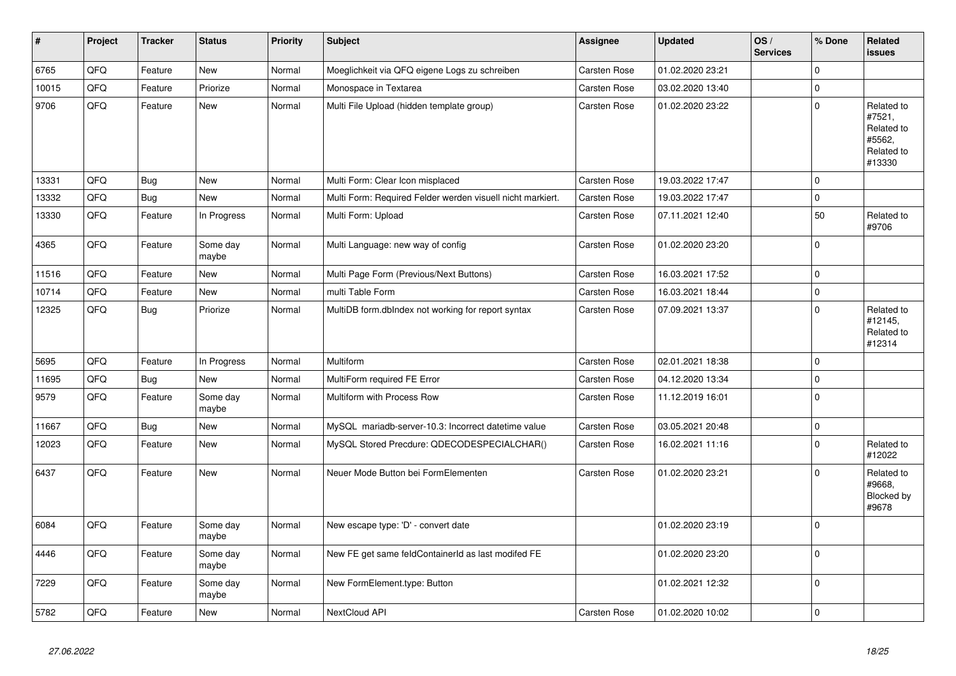| $\vert$ # | Project | <b>Tracker</b> | <b>Status</b>     | <b>Priority</b> | Subject                                                    | <b>Assignee</b> | <b>Updated</b>   | OS/<br><b>Services</b> | % Done         | <b>Related</b><br><b>issues</b>                                      |
|-----------|---------|----------------|-------------------|-----------------|------------------------------------------------------------|-----------------|------------------|------------------------|----------------|----------------------------------------------------------------------|
| 6765      | QFQ     | Feature        | <b>New</b>        | Normal          | Moeglichkeit via QFQ eigene Logs zu schreiben              | Carsten Rose    | 01.02.2020 23:21 |                        | $\mathbf 0$    |                                                                      |
| 10015     | QFQ     | Feature        | Priorize          | Normal          | Monospace in Textarea                                      | Carsten Rose    | 03.02.2020 13:40 |                        | $\pmb{0}$      |                                                                      |
| 9706      | QFO     | Feature        | <b>New</b>        | Normal          | Multi File Upload (hidden template group)                  | Carsten Rose    | 01.02.2020 23:22 |                        | $\overline{0}$ | Related to<br>#7521,<br>Related to<br>#5562,<br>Related to<br>#13330 |
| 13331     | QFQ     | Bug            | <b>New</b>        | Normal          | Multi Form: Clear Icon misplaced                           | Carsten Rose    | 19.03.2022 17:47 |                        | $\mathbf 0$    |                                                                      |
| 13332     | QFQ     | Bug            | <b>New</b>        | Normal          | Multi Form: Required Felder werden visuell nicht markiert. | Carsten Rose    | 19.03.2022 17:47 |                        | $\pmb{0}$      |                                                                      |
| 13330     | QFO     | Feature        | In Progress       | Normal          | Multi Form: Upload                                         | Carsten Rose    | 07.11.2021 12:40 |                        | 50             | Related to<br>#9706                                                  |
| 4365      | QFQ     | Feature        | Some day<br>maybe | Normal          | Multi Language: new way of config                          | Carsten Rose    | 01.02.2020 23:20 |                        | $\overline{0}$ |                                                                      |
| 11516     | QFQ     | Feature        | <b>New</b>        | Normal          | Multi Page Form (Previous/Next Buttons)                    | Carsten Rose    | 16.03.2021 17:52 |                        | $\mathbf 0$    |                                                                      |
| 10714     | QFQ     | Feature        | <b>New</b>        | Normal          | multi Table Form                                           | Carsten Rose    | 16.03.2021 18:44 |                        | $\overline{0}$ |                                                                      |
| 12325     | QFQ     | Bug            | Priorize          | Normal          | MultiDB form.dbIndex not working for report syntax         | Carsten Rose    | 07.09.2021 13:37 |                        | $\mathbf 0$    | Related to<br>#12145,<br>Related to<br>#12314                        |
| 5695      | QFQ     | Feature        | In Progress       | Normal          | Multiform                                                  | Carsten Rose    | 02.01.2021 18:38 |                        | $\overline{0}$ |                                                                      |
| 11695     | QFQ     | Bug            | <b>New</b>        | Normal          | MultiForm required FE Error                                | Carsten Rose    | 04.12.2020 13:34 |                        | $\pmb{0}$      |                                                                      |
| 9579      | QFQ     | Feature        | Some day<br>maybe | Normal          | Multiform with Process Row                                 | Carsten Rose    | 11.12.2019 16:01 |                        | $\mathbf 0$    |                                                                      |
| 11667     | QFQ     | Bug            | <b>New</b>        | Normal          | MySQL mariadb-server-10.3: Incorrect datetime value        | Carsten Rose    | 03.05.2021 20:48 |                        | $\overline{0}$ |                                                                      |
| 12023     | QFQ     | Feature        | <b>New</b>        | Normal          | MySQL Stored Precdure: QDECODESPECIALCHAR()                | Carsten Rose    | 16.02.2021 11:16 |                        | $\overline{0}$ | Related to<br>#12022                                                 |
| 6437      | QFQ     | Feature        | <b>New</b>        | Normal          | Neuer Mode Button bei FormElementen                        | Carsten Rose    | 01.02.2020 23:21 |                        | $\Omega$       | Related to<br>#9668,<br>Blocked by<br>#9678                          |
| 6084      | QFQ     | Feature        | Some day<br>maybe | Normal          | New escape type: 'D' - convert date                        |                 | 01.02.2020 23:19 |                        | $\overline{0}$ |                                                                      |
| 4446      | QFQ     | Feature        | Some day<br>maybe | Normal          | New FE get same feldContainerId as last modifed FE         |                 | 01.02.2020 23:20 |                        | $\mathbf 0$    |                                                                      |
| 7229      | QFQ     | Feature        | Some day<br>maybe | Normal          | New FormElement.type: Button                               |                 | 01.02.2021 12:32 |                        | $\overline{0}$ |                                                                      |
| 5782      | QFQ     | Feature        | <b>New</b>        | Normal          | NextCloud API                                              | Carsten Rose    | 01.02.2020 10:02 |                        | $\pmb{0}$      |                                                                      |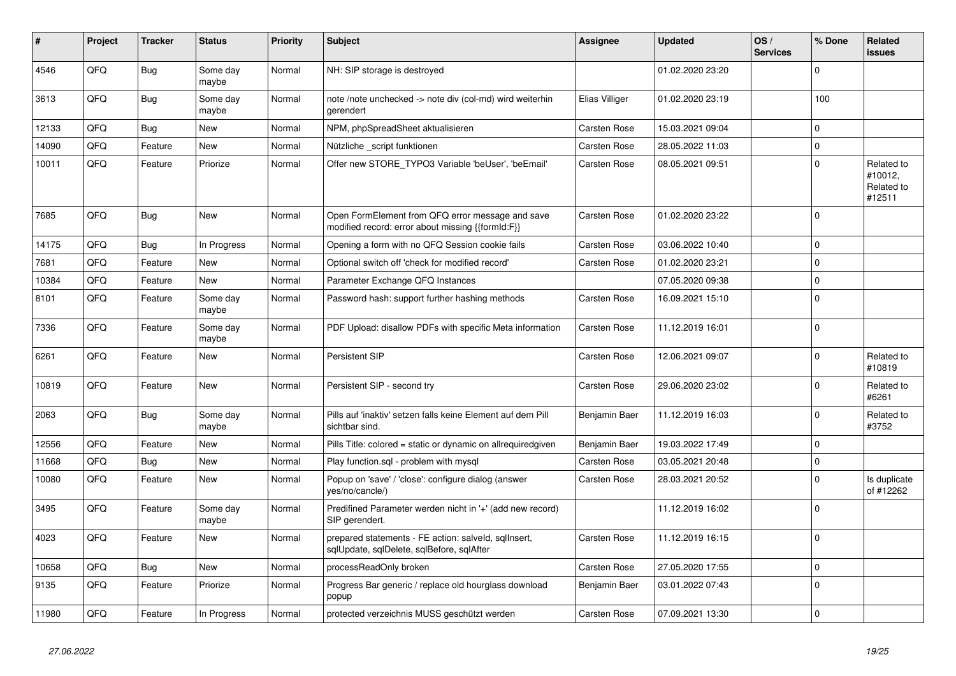| #     | Project | <b>Tracker</b> | <b>Status</b>     | <b>Priority</b> | <b>Subject</b>                                                                                        | Assignee       | <b>Updated</b>   | OS/<br><b>Services</b> | % Done       | Related<br>issues                             |
|-------|---------|----------------|-------------------|-----------------|-------------------------------------------------------------------------------------------------------|----------------|------------------|------------------------|--------------|-----------------------------------------------|
| 4546  | QFQ     | Bug            | Some dav<br>maybe | Normal          | NH: SIP storage is destroyed                                                                          |                | 01.02.2020 23:20 |                        | $\Omega$     |                                               |
| 3613  | QFQ     | Bug            | Some day<br>maybe | Normal          | note /note unchecked -> note div (col-md) wird weiterhin<br>gerendert                                 | Elias Villiger | 01.02.2020 23:19 |                        | 100          |                                               |
| 12133 | QFQ     | <b>Bug</b>     | <b>New</b>        | Normal          | NPM, phpSpreadSheet aktualisieren                                                                     | Carsten Rose   | 15.03.2021 09:04 |                        | $\Omega$     |                                               |
| 14090 | QFQ     | Feature        | New               | Normal          | Nützliche _script funktionen                                                                          | Carsten Rose   | 28.05.2022 11:03 |                        | $\mathbf 0$  |                                               |
| 10011 | QFQ     | Feature        | Priorize          | Normal          | Offer new STORE TYPO3 Variable 'beUser', 'beEmail'                                                    | Carsten Rose   | 08.05.2021 09:51 |                        | $\mathbf 0$  | Related to<br>#10012,<br>Related to<br>#12511 |
| 7685  | QFQ     | <b>Bug</b>     | <b>New</b>        | Normal          | Open FormElement from QFQ error message and save<br>modified record: error about missing {{formId:F}} | Carsten Rose   | 01.02.2020 23:22 |                        | $\mathbf 0$  |                                               |
| 14175 | QFQ     | <b>Bug</b>     | In Progress       | Normal          | Opening a form with no QFQ Session cookie fails                                                       | Carsten Rose   | 03.06.2022 10:40 |                        | $\Omega$     |                                               |
| 7681  | QFQ     | Feature        | New               | Normal          | Optional switch off 'check for modified record'                                                       | Carsten Rose   | 01.02.2020 23:21 |                        | $\mathbf 0$  |                                               |
| 10384 | QFQ     | Feature        | <b>New</b>        | Normal          | Parameter Exchange QFQ Instances                                                                      |                | 07.05.2020 09:38 |                        | $\mathbf{0}$ |                                               |
| 8101  | QFQ     | Feature        | Some day<br>maybe | Normal          | Password hash: support further hashing methods                                                        | Carsten Rose   | 16.09.2021 15:10 |                        | $\pmb{0}$    |                                               |
| 7336  | QFQ     | Feature        | Some day<br>maybe | Normal          | PDF Upload: disallow PDFs with specific Meta information                                              | Carsten Rose   | 11.12.2019 16:01 |                        | $\mathbf 0$  |                                               |
| 6261  | QFQ     | Feature        | New               | Normal          | Persistent SIP                                                                                        | Carsten Rose   | 12.06.2021 09:07 |                        | $\Omega$     | Related to<br>#10819                          |
| 10819 | QFQ     | Feature        | <b>New</b>        | Normal          | Persistent SIP - second try                                                                           | Carsten Rose   | 29.06.2020 23:02 |                        | $\mathbf 0$  | Related to<br>#6261                           |
| 2063  | QFQ     | <b>Bug</b>     | Some day<br>maybe | Normal          | Pills auf 'inaktiv' setzen falls keine Element auf dem Pill<br>sichtbar sind.                         | Benjamin Baer  | 11.12.2019 16:03 |                        | $\mathbf 0$  | Related to<br>#3752                           |
| 12556 | QFQ     | Feature        | <b>New</b>        | Normal          | Pills Title: colored = static or dynamic on allrequiredgiven                                          | Benjamin Baer  | 19.03.2022 17:49 |                        | $\mathbf 0$  |                                               |
| 11668 | QFQ     | Bug            | New               | Normal          | Play function.sgl - problem with mysgl                                                                | Carsten Rose   | 03.05.2021 20:48 |                        | $\mathbf 0$  |                                               |
| 10080 | QFQ     | Feature        | New               | Normal          | Popup on 'save' / 'close': configure dialog (answer<br>yes/no/cancle/)                                | Carsten Rose   | 28.03.2021 20:52 |                        | $\mathbf 0$  | Is duplicate<br>of #12262                     |
| 3495  | QFQ     | Feature        | Some day<br>maybe | Normal          | Predifined Parameter werden nicht in '+' (add new record)<br>SIP gerendert.                           |                | 11.12.2019 16:02 |                        | $\mathbf 0$  |                                               |
| 4023  | QFQ     | Feature        | <b>New</b>        | Normal          | prepared statements - FE action: salveld, sqllnsert,<br>sqlUpdate, sqlDelete, sqlBefore, sqlAfter     | Carsten Rose   | 11.12.2019 16:15 |                        | $\mathbf{0}$ |                                               |
| 10658 | QFQ     | <b>Bug</b>     | <b>New</b>        | Normal          | processReadOnly broken                                                                                | Carsten Rose   | 27.05.2020 17:55 |                        | $\mathbf 0$  |                                               |
| 9135  | QFQ     | Feature        | Priorize          | Normal          | Progress Bar generic / replace old hourglass download<br>popup                                        | Benjamin Baer  | 03.01.2022 07:43 |                        | $\mathbf 0$  |                                               |
| 11980 | QFQ     | Feature        | In Progress       | Normal          | protected verzeichnis MUSS geschützt werden                                                           | Carsten Rose   | 07.09.2021 13:30 |                        | $\mathbf 0$  |                                               |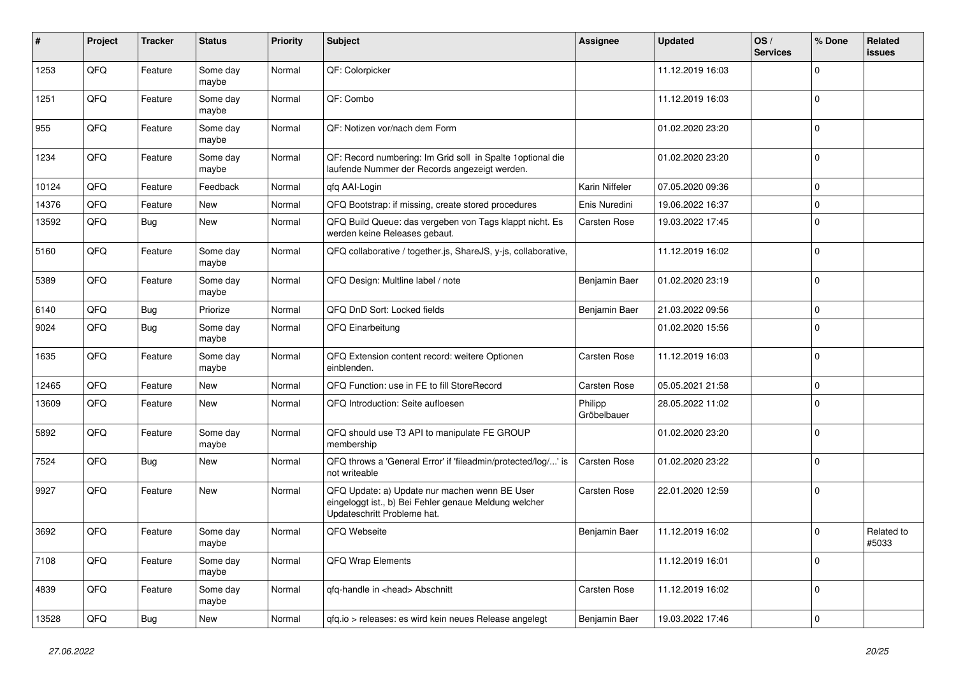| #     | Project | <b>Tracker</b> | <b>Status</b>     | <b>Priority</b> | Subject                                                                                                                               | <b>Assignee</b>        | <b>Updated</b>   | OS/<br><b>Services</b> | % Done      | Related<br><b>issues</b> |
|-------|---------|----------------|-------------------|-----------------|---------------------------------------------------------------------------------------------------------------------------------------|------------------------|------------------|------------------------|-------------|--------------------------|
| 1253  | QFQ     | Feature        | Some day<br>maybe | Normal          | QF: Colorpicker                                                                                                                       |                        | 11.12.2019 16:03 |                        | 0           |                          |
| 1251  | QFQ     | Feature        | Some day<br>maybe | Normal          | QF: Combo                                                                                                                             |                        | 11.12.2019 16:03 |                        | 0           |                          |
| 955   | QFQ     | Feature        | Some day<br>maybe | Normal          | QF: Notizen vor/nach dem Form                                                                                                         |                        | 01.02.2020 23:20 |                        | 0           |                          |
| 1234  | QFQ     | Feature        | Some day<br>maybe | Normal          | QF: Record numbering: Im Grid soll in Spalte 1optional die<br>laufende Nummer der Records angezeigt werden.                           |                        | 01.02.2020 23:20 |                        | 0           |                          |
| 10124 | QFQ     | Feature        | Feedback          | Normal          | qfq AAI-Login                                                                                                                         | Karin Niffeler         | 07.05.2020 09:36 |                        | 0           |                          |
| 14376 | QFQ     | Feature        | New               | Normal          | QFQ Bootstrap: if missing, create stored procedures                                                                                   | Enis Nuredini          | 19.06.2022 16:37 |                        | $\Omega$    |                          |
| 13592 | QFQ     | <b>Bug</b>     | New               | Normal          | QFQ Build Queue: das vergeben von Tags klappt nicht. Es<br>werden keine Releases gebaut.                                              | Carsten Rose           | 19.03.2022 17:45 |                        | 0           |                          |
| 5160  | QFQ     | Feature        | Some day<br>maybe | Normal          | QFQ collaborative / together.js, ShareJS, y-js, collaborative,                                                                        |                        | 11.12.2019 16:02 |                        | 0           |                          |
| 5389  | QFQ     | Feature        | Some day<br>maybe | Normal          | QFQ Design: Multline label / note                                                                                                     | Benjamin Baer          | 01.02.2020 23:19 |                        | $\Omega$    |                          |
| 6140  | QFQ     | <b>Bug</b>     | Priorize          | Normal          | QFQ DnD Sort: Locked fields                                                                                                           | Benjamin Baer          | 21.03.2022 09:56 |                        | $\Omega$    |                          |
| 9024  | QFQ     | <b>Bug</b>     | Some day<br>maybe | Normal          | QFQ Einarbeitung                                                                                                                      |                        | 01.02.2020 15:56 |                        | $\Omega$    |                          |
| 1635  | QFQ     | Feature        | Some day<br>maybe | Normal          | QFQ Extension content record: weitere Optionen<br>einblenden.                                                                         | <b>Carsten Rose</b>    | 11.12.2019 16:03 |                        | 0           |                          |
| 12465 | QFQ     | Feature        | New               | Normal          | QFQ Function: use in FE to fill StoreRecord                                                                                           | Carsten Rose           | 05.05.2021 21:58 |                        | 0           |                          |
| 13609 | QFQ     | Feature        | <b>New</b>        | Normal          | QFQ Introduction: Seite aufloesen                                                                                                     | Philipp<br>Gröbelbauer | 28.05.2022 11:02 |                        | $\Omega$    |                          |
| 5892  | QFQ     | Feature        | Some day<br>maybe | Normal          | QFQ should use T3 API to manipulate FE GROUP<br>membership                                                                            |                        | 01.02.2020 23:20 |                        | $\Omega$    |                          |
| 7524  | QFQ     | <b>Bug</b>     | <b>New</b>        | Normal          | QFQ throws a 'General Error' if 'fileadmin/protected/log/' is<br>not writeable                                                        | Carsten Rose           | 01.02.2020 23:22 |                        | $\Omega$    |                          |
| 9927  | QFQ     | Feature        | <b>New</b>        | Normal          | QFQ Update: a) Update nur machen wenn BE User<br>eingeloggt ist., b) Bei Fehler genaue Meldung welcher<br>Updateschritt Probleme hat. | Carsten Rose           | 22.01.2020 12:59 |                        | 0           |                          |
| 3692  | QFQ     | Feature        | Some day<br>maybe | Normal          | QFQ Webseite                                                                                                                          | Benjamin Baer          | 11.12.2019 16:02 |                        | $\Omega$    | Related to<br>#5033      |
| 7108  | QFQ     | Feature        | Some day<br>maybe | Normal          | <b>QFQ Wrap Elements</b>                                                                                                              |                        | 11.12.2019 16:01 |                        | 0           |                          |
| 4839  | QFQ     | Feature        | Some day<br>maybe | Normal          | qfq-handle in <head> Abschnitt</head>                                                                                                 | Carsten Rose           | 11.12.2019 16:02 |                        | $\mathbf 0$ |                          |
| 13528 | QFQ     | Bug            | New               | Normal          | gfg.io > releases: es wird kein neues Release angelegt                                                                                | Benjamin Baer          | 19.03.2022 17:46 |                        | 0           |                          |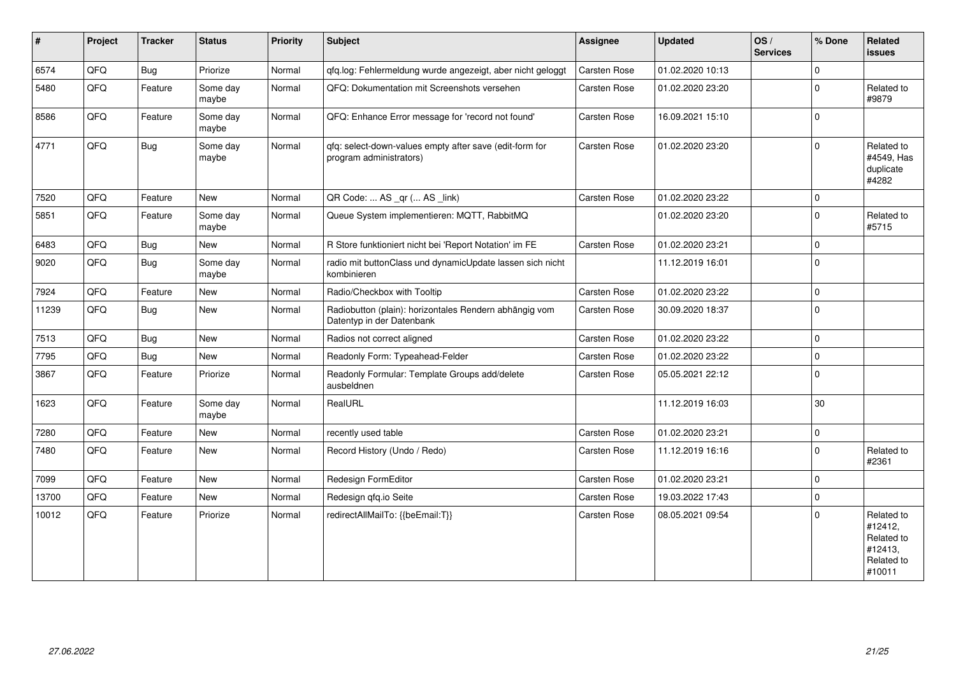| #     | Project | <b>Tracker</b> | <b>Status</b>     | <b>Priority</b> | <b>Subject</b>                                                                      | <b>Assignee</b> | <b>Updated</b>   | OS/<br><b>Services</b> | % Done         | Related<br><b>issues</b>                                               |
|-------|---------|----------------|-------------------|-----------------|-------------------------------------------------------------------------------------|-----------------|------------------|------------------------|----------------|------------------------------------------------------------------------|
| 6574  | QFQ     | Bug            | Priorize          | Normal          | qfq.log: Fehlermeldung wurde angezeigt, aber nicht geloggt                          | Carsten Rose    | 01.02.2020 10:13 |                        | $\mathbf 0$    |                                                                        |
| 5480  | QFQ     | Feature        | Some day<br>maybe | Normal          | QFQ: Dokumentation mit Screenshots versehen                                         | Carsten Rose    | 01.02.2020 23:20 |                        | $\mathbf 0$    | Related to<br>#9879                                                    |
| 8586  | QFQ     | Feature        | Some day<br>maybe | Normal          | QFQ: Enhance Error message for 'record not found'                                   | Carsten Rose    | 16.09.2021 15:10 |                        | $\mathbf 0$    |                                                                        |
| 4771  | QFQ     | Bug            | Some day<br>maybe | Normal          | qfq: select-down-values empty after save (edit-form for<br>program administrators)  | Carsten Rose    | 01.02.2020 23:20 |                        | $\mathbf 0$    | Related to<br>#4549, Has<br>duplicate<br>#4282                         |
| 7520  | QFQ     | Feature        | <b>New</b>        | Normal          | QR Code:  AS _qr ( AS _link)                                                        | Carsten Rose    | 01.02.2020 23:22 |                        | $\overline{0}$ |                                                                        |
| 5851  | QFQ     | Feature        | Some day<br>maybe | Normal          | Queue System implementieren: MQTT, RabbitMQ                                         |                 | 01.02.2020 23:20 |                        | $\Omega$       | Related to<br>#5715                                                    |
| 6483  | QFQ     | <b>Bug</b>     | <b>New</b>        | Normal          | R Store funktioniert nicht bei 'Report Notation' im FE                              | Carsten Rose    | 01.02.2020 23:21 |                        | $\Omega$       |                                                                        |
| 9020  | QFQ     | <b>Bug</b>     | Some day<br>maybe | Normal          | radio mit buttonClass und dynamicUpdate lassen sich nicht<br>kombinieren            |                 | 11.12.2019 16:01 |                        | $\overline{0}$ |                                                                        |
| 7924  | QFQ     | Feature        | <b>New</b>        | Normal          | Radio/Checkbox with Tooltip                                                         | Carsten Rose    | 01.02.2020 23:22 |                        | $\mathbf 0$    |                                                                        |
| 11239 | QFQ     | Bug            | <b>New</b>        | Normal          | Radiobutton (plain): horizontales Rendern abhängig vom<br>Datentyp in der Datenbank | Carsten Rose    | 30.09.2020 18:37 |                        | $\overline{0}$ |                                                                        |
| 7513  | QFQ     | Bug            | New               | Normal          | Radios not correct aligned                                                          | Carsten Rose    | 01.02.2020 23:22 |                        | $\overline{0}$ |                                                                        |
| 7795  | QFQ     | Bug            | <b>New</b>        | Normal          | Readonly Form: Typeahead-Felder                                                     | Carsten Rose    | 01.02.2020 23:22 |                        | $\overline{0}$ |                                                                        |
| 3867  | QFQ     | Feature        | Priorize          | Normal          | Readonly Formular: Template Groups add/delete<br>ausbeldnen                         | Carsten Rose    | 05.05.2021 22:12 |                        | $\overline{0}$ |                                                                        |
| 1623  | QFQ     | Feature        | Some day<br>maybe | Normal          | RealURL                                                                             |                 | 11.12.2019 16:03 |                        | 30             |                                                                        |
| 7280  | QFQ     | Feature        | <b>New</b>        | Normal          | recently used table                                                                 | Carsten Rose    | 01.02.2020 23:21 |                        | $\mathbf{0}$   |                                                                        |
| 7480  | QFQ     | Feature        | <b>New</b>        | Normal          | Record History (Undo / Redo)                                                        | Carsten Rose    | 11.12.2019 16:16 |                        | $\mathbf 0$    | Related to<br>#2361                                                    |
| 7099  | QFQ     | Feature        | New               | Normal          | Redesign FormEditor                                                                 | Carsten Rose    | 01.02.2020 23:21 |                        | $\mathbf{0}$   |                                                                        |
| 13700 | QFQ     | Feature        | <b>New</b>        | Normal          | Redesign qfq.io Seite                                                               | Carsten Rose    | 19.03.2022 17:43 |                        | $\overline{0}$ |                                                                        |
| 10012 | QFQ     | Feature        | Priorize          | Normal          | redirectAllMailTo: {{beEmail:T}}                                                    | Carsten Rose    | 08.05.2021 09:54 |                        | $\mathbf 0$    | Related to<br>#12412,<br>Related to<br>#12413,<br>Related to<br>#10011 |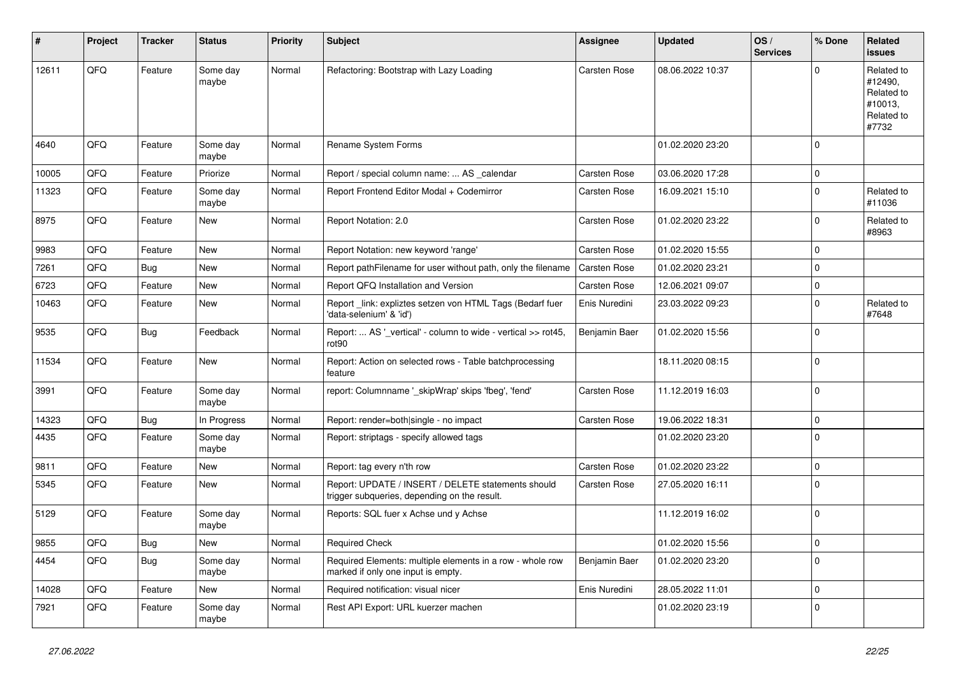| ∦     | Project | <b>Tracker</b> | <b>Status</b>     | <b>Priority</b> | Subject                                                                                            | <b>Assignee</b> | <b>Updated</b>   | OS/<br><b>Services</b> | % Done       | Related<br>issues                                                     |
|-------|---------|----------------|-------------------|-----------------|----------------------------------------------------------------------------------------------------|-----------------|------------------|------------------------|--------------|-----------------------------------------------------------------------|
| 12611 | QFQ     | Feature        | Some day<br>maybe | Normal          | Refactoring: Bootstrap with Lazy Loading                                                           | Carsten Rose    | 08.06.2022 10:37 |                        | $\Omega$     | Related to<br>#12490,<br>Related to<br>#10013,<br>Related to<br>#7732 |
| 4640  | QFQ     | Feature        | Some day<br>maybe | Normal          | Rename System Forms                                                                                |                 | 01.02.2020 23:20 |                        | $\mathbf 0$  |                                                                       |
| 10005 | QFQ     | Feature        | Priorize          | Normal          | Report / special column name:  AS _calendar                                                        | Carsten Rose    | 03.06.2020 17:28 |                        | $\mathbf 0$  |                                                                       |
| 11323 | QFQ     | Feature        | Some day<br>maybe | Normal          | Report Frontend Editor Modal + Codemirror                                                          | Carsten Rose    | 16.09.2021 15:10 |                        | $\mathbf 0$  | Related to<br>#11036                                                  |
| 8975  | QFQ     | Feature        | New               | Normal          | Report Notation: 2.0                                                                               | Carsten Rose    | 01.02.2020 23:22 |                        | $\mathbf 0$  | Related to<br>#8963                                                   |
| 9983  | QFQ     | Feature        | <b>New</b>        | Normal          | Report Notation: new keyword 'range'                                                               | Carsten Rose    | 01.02.2020 15:55 |                        | $\mathbf 0$  |                                                                       |
| 7261  | QFQ     | Bug            | <b>New</b>        | Normal          | Report pathFilename for user without path, only the filename                                       | Carsten Rose    | 01.02.2020 23:21 |                        | $\mathbf 0$  |                                                                       |
| 6723  | QFQ     | Feature        | New               | Normal          | Report QFQ Installation and Version                                                                | Carsten Rose    | 12.06.2021 09:07 |                        | $\mathbf 0$  |                                                                       |
| 10463 | QFQ     | Feature        | New               | Normal          | Report_link: expliztes setzen von HTML Tags (Bedarf fuer<br>'data-selenium' & 'id')                | Enis Nuredini   | 23.03.2022 09:23 |                        | $\mathbf 0$  | Related to<br>#7648                                                   |
| 9535  | QFQ     | Bug            | Feedback          | Normal          | Report:  AS '_vertical' - column to wide - vertical >> rot45,<br>rot90                             | Benjamin Baer   | 01.02.2020 15:56 |                        | $\mathbf 0$  |                                                                       |
| 11534 | QFQ     | Feature        | <b>New</b>        | Normal          | Report: Action on selected rows - Table batchprocessing<br>feature                                 |                 | 18.11.2020 08:15 |                        | $\mathbf 0$  |                                                                       |
| 3991  | QFQ     | Feature        | Some day<br>maybe | Normal          | report: Columnname '_skipWrap' skips 'fbeg', 'fend'                                                | Carsten Rose    | 11.12.2019 16:03 |                        | $\mathbf 0$  |                                                                       |
| 14323 | QFQ     | Bug            | In Progress       | Normal          | Report: render=both single - no impact                                                             | Carsten Rose    | 19.06.2022 18:31 |                        | $\mathbf 0$  |                                                                       |
| 4435  | QFQ     | Feature        | Some day<br>maybe | Normal          | Report: striptags - specify allowed tags                                                           |                 | 01.02.2020 23:20 |                        | $\mathbf 0$  |                                                                       |
| 9811  | QFQ     | Feature        | New               | Normal          | Report: tag every n'th row                                                                         | Carsten Rose    | 01.02.2020 23:22 |                        | $\mathbf 0$  |                                                                       |
| 5345  | QFQ     | Feature        | <b>New</b>        | Normal          | Report: UPDATE / INSERT / DELETE statements should<br>trigger subqueries, depending on the result. | Carsten Rose    | 27.05.2020 16:11 |                        | $\Omega$     |                                                                       |
| 5129  | QFQ     | Feature        | Some day<br>maybe | Normal          | Reports: SQL fuer x Achse und y Achse                                                              |                 | 11.12.2019 16:02 |                        | $\mathbf 0$  |                                                                       |
| 9855  | QFG     | <b>Bug</b>     | New               | Normal          | Required Check                                                                                     |                 | 01.02.2020 15:56 |                        | $\mathsf{U}$ |                                                                       |
| 4454  | QFQ     | <b>Bug</b>     | Some day<br>maybe | Normal          | Required Elements: multiple elements in a row - whole row<br>marked if only one input is empty.    | Benjamin Baer   | 01.02.2020 23:20 |                        | $\mathbf 0$  |                                                                       |
| 14028 | QFO     | Feature        | New               | Normal          | Required notification: visual nicer                                                                | Enis Nuredini   | 28.05.2022 11:01 |                        | $\mathbf 0$  |                                                                       |
| 7921  | QFQ     | Feature        | Some day<br>maybe | Normal          | Rest API Export: URL kuerzer machen                                                                |                 | 01.02.2020 23:19 |                        | $\mathbf 0$  |                                                                       |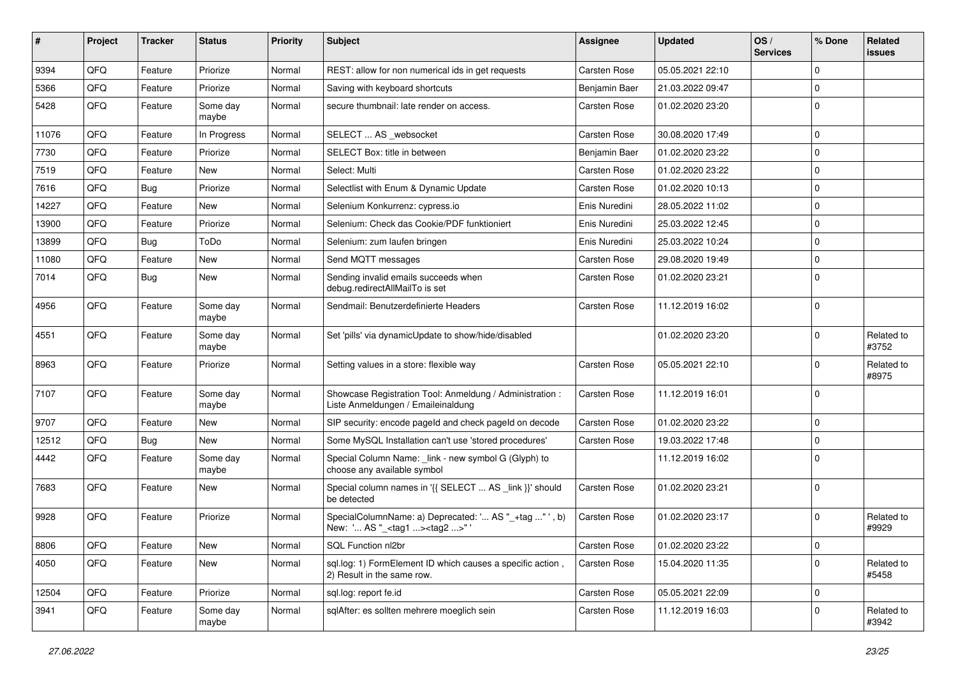| $\pmb{\#}$ | Project | <b>Tracker</b> | <b>Status</b>     | <b>Priority</b> | Subject                                                                                           | <b>Assignee</b> | <b>Updated</b>   | OS/<br><b>Services</b> | % Done         | Related<br><b>issues</b> |
|------------|---------|----------------|-------------------|-----------------|---------------------------------------------------------------------------------------------------|-----------------|------------------|------------------------|----------------|--------------------------|
| 9394       | QFQ     | Feature        | Priorize          | Normal          | REST: allow for non numerical ids in get requests                                                 | Carsten Rose    | 05.05.2021 22:10 |                        | 0              |                          |
| 5366       | QFQ     | Feature        | Priorize          | Normal          | Saving with keyboard shortcuts                                                                    | Benjamin Baer   | 21.03.2022 09:47 |                        | $\Omega$       |                          |
| 5428       | QFQ     | Feature        | Some day<br>maybe | Normal          | secure thumbnail: late render on access.                                                          | Carsten Rose    | 01.02.2020 23:20 |                        | $\Omega$       |                          |
| 11076      | QFQ     | Feature        | In Progress       | Normal          | SELECT  AS _websocket                                                                             | Carsten Rose    | 30.08.2020 17:49 |                        | $\Omega$       |                          |
| 7730       | QFQ     | Feature        | Priorize          | Normal          | SELECT Box: title in between                                                                      | Benjamin Baer   | 01.02.2020 23:22 |                        | $\Omega$       |                          |
| 7519       | QFQ     | Feature        | New               | Normal          | Select: Multi                                                                                     | Carsten Rose    | 01.02.2020 23:22 |                        | 0              |                          |
| 7616       | QFQ     | Bug            | Priorize          | Normal          | Selectlist with Enum & Dynamic Update                                                             | Carsten Rose    | 01.02.2020 10:13 |                        | $\Omega$       |                          |
| 14227      | QFQ     | Feature        | New               | Normal          | Selenium Konkurrenz: cypress.io                                                                   | Enis Nuredini   | 28.05.2022 11:02 |                        | 0              |                          |
| 13900      | QFQ     | Feature        | Priorize          | Normal          | Selenium: Check das Cookie/PDF funktioniert                                                       | Enis Nuredini   | 25.03.2022 12:45 |                        | $\Omega$       |                          |
| 13899      | QFQ     | Bug            | ToDo              | Normal          | Selenium: zum laufen bringen                                                                      | Enis Nuredini   | 25.03.2022 10:24 |                        | $\Omega$       |                          |
| 11080      | QFQ     | Feature        | New               | Normal          | Send MQTT messages                                                                                | Carsten Rose    | 29.08.2020 19:49 |                        | 0              |                          |
| 7014       | QFQ     | Bug            | New               | Normal          | Sending invalid emails succeeds when<br>debug.redirectAllMailTo is set                            | Carsten Rose    | 01.02.2020 23:21 |                        | $\Omega$       |                          |
| 4956       | QFQ     | Feature        | Some day<br>maybe | Normal          | Sendmail: Benutzerdefinierte Headers                                                              | Carsten Rose    | 11.12.2019 16:02 |                        | $\Omega$       |                          |
| 4551       | QFQ     | Feature        | Some day<br>maybe | Normal          | Set 'pills' via dynamicUpdate to show/hide/disabled                                               |                 | 01.02.2020 23:20 |                        | $\Omega$       | Related to<br>#3752      |
| 8963       | QFQ     | Feature        | Priorize          | Normal          | Setting values in a store: flexible way                                                           | Carsten Rose    | 05.05.2021 22:10 |                        | $\Omega$       | Related to<br>#8975      |
| 7107       | QFQ     | Feature        | Some day<br>maybe | Normal          | Showcase Registration Tool: Anmeldung / Administration :<br>Liste Anmeldungen / Emaileinaldung    | Carsten Rose    | 11.12.2019 16:01 |                        | $\Omega$       |                          |
| 9707       | QFQ     | Feature        | New               | Normal          | SIP security: encode pageld and check pageld on decode                                            | Carsten Rose    | 01.02.2020 23:22 |                        | 0              |                          |
| 12512      | QFQ     | Bug            | New               | Normal          | Some MySQL Installation can't use 'stored procedures'                                             | Carsten Rose    | 19.03.2022 17:48 |                        | 0              |                          |
| 4442       | QFQ     | Feature        | Some day<br>maybe | Normal          | Special Column Name: _link - new symbol G (Glyph) to<br>choose any available symbol               |                 | 11.12.2019 16:02 |                        | $\Omega$       |                          |
| 7683       | QFQ     | Feature        | New               | Normal          | Special column names in '{{ SELECT  AS _link }}' should<br>be detected                            | Carsten Rose    | 01.02.2020 23:21 |                        | $\Omega$       |                          |
| 9928       | QFQ     | Feature        | Priorize          | Normal          | SpecialColumnName: a) Deprecated: ' AS "_+tag " ', b)<br>New: ' AS "_ <tag1><tag2>"</tag2></tag1> | Carsten Rose    | 01.02.2020 23:17 |                        | $\Omega$       | Related to<br>#9929      |
| 8806       | QFQ     | Feature        | New               | Normal          | SQL Function nl2br                                                                                | Carsten Rose    | 01.02.2020 23:22 |                        | $\overline{0}$ |                          |
| 4050       | QFQ     | Feature        | New               | Normal          | sql.log: 1) FormElement ID which causes a specific action,<br>2) Result in the same row.          | Carsten Rose    | 15.04.2020 11:35 |                        | 0              | Related to<br>#5458      |
| 12504      | QFQ     | Feature        | Priorize          | Normal          | sql.log: report fe.id                                                                             | Carsten Rose    | 05.05.2021 22:09 |                        | $\mathbf 0$    |                          |
| 3941       | QFQ     | Feature        | Some day<br>maybe | Normal          | sqlAfter: es sollten mehrere moeglich sein                                                        | Carsten Rose    | 11.12.2019 16:03 |                        | 0              | Related to<br>#3942      |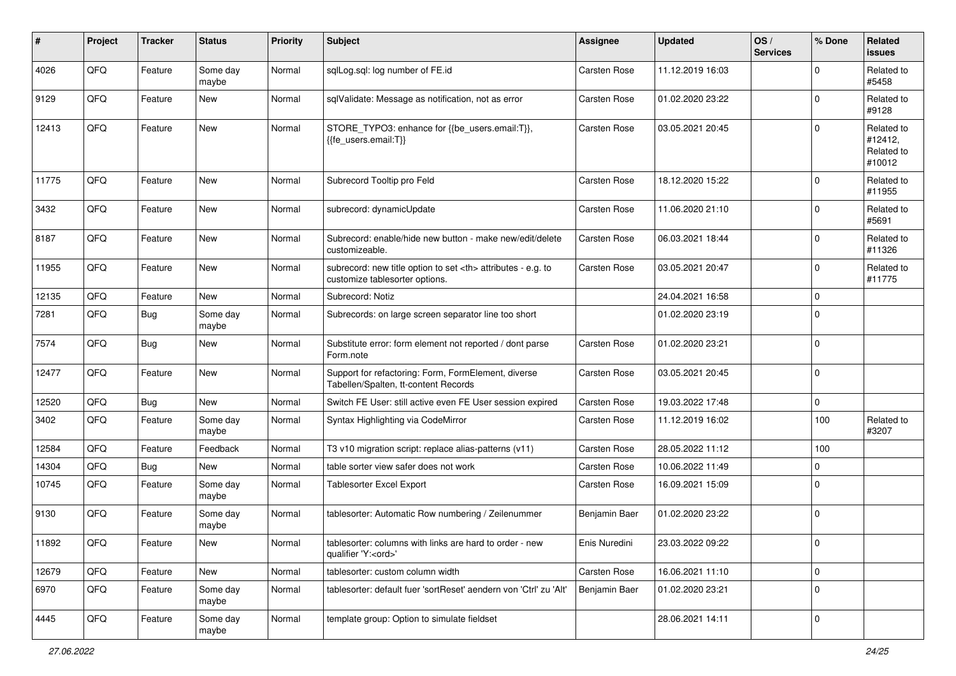| $\pmb{\#}$ | Project | <b>Tracker</b> | <b>Status</b>     | <b>Priority</b> | <b>Subject</b>                                                                                       | <b>Assignee</b>                                        | <b>Updated</b>   | OS/<br><b>Services</b> | % Done       | Related<br>issues                             |                      |
|------------|---------|----------------|-------------------|-----------------|------------------------------------------------------------------------------------------------------|--------------------------------------------------------|------------------|------------------------|--------------|-----------------------------------------------|----------------------|
| 4026       | QFQ     | Feature        | Some day<br>maybe | Normal          | sqlLog.sql: log number of FE.id                                                                      | Carsten Rose                                           | 11.12.2019 16:03 |                        | $\Omega$     | Related to<br>#5458                           |                      |
| 9129       | QFQ     | Feature        | New               | Normal          | sqlValidate: Message as notification, not as error                                                   | Carsten Rose                                           | 01.02.2020 23:22 |                        | $\mathbf 0$  | Related to<br>#9128                           |                      |
| 12413      | QFQ     | Feature        | <b>New</b>        | Normal          | STORE_TYPO3: enhance for {{be_users.email:T}},<br>{{fe users.email:T}}                               | Carsten Rose                                           | 03.05.2021 20:45 |                        | $\Omega$     | Related to<br>#12412,<br>Related to<br>#10012 |                      |
| 11775      | QFQ     | Feature        | <b>New</b>        | Normal          | Subrecord Tooltip pro Feld                                                                           | <b>Carsten Rose</b>                                    | 18.12.2020 15:22 |                        | $\mathbf 0$  | Related to<br>#11955                          |                      |
| 3432       | QFQ     | Feature        | <b>New</b>        | Normal          | subrecord: dynamicUpdate                                                                             | Carsten Rose                                           | 11.06.2020 21:10 |                        | $\Omega$     | Related to<br>#5691                           |                      |
| 8187       | QFQ     | Feature        | New               | Normal          | Subrecord: enable/hide new button - make new/edit/delete<br>customizeable.                           | Carsten Rose                                           | 06.03.2021 18:44 |                        | $\mathbf 0$  | Related to<br>#11326                          |                      |
| 11955      | QFQ     | Feature        | New               | Normal          | subrecord: new title option to set <th> attributes - e.g. to<br/>customize tablesorter options.</th> | attributes - e.g. to<br>customize tablesorter options. | Carsten Rose     | 03.05.2021 20:47       |              | $\mathbf 0$                                   | Related to<br>#11775 |
| 12135      | QFQ     | Feature        | New               | Normal          | Subrecord: Notiz                                                                                     |                                                        | 24.04.2021 16:58 |                        | $\mathbf 0$  |                                               |                      |
| 7281       | QFQ     | Bug            | Some day<br>maybe | Normal          | Subrecords: on large screen separator line too short                                                 |                                                        | 01.02.2020 23:19 |                        | $\mathbf 0$  |                                               |                      |
| 7574       | QFQ     | Bug            | <b>New</b>        | Normal          | Substitute error: form element not reported / dont parse<br>Form.note                                | <b>Carsten Rose</b>                                    | 01.02.2020 23:21 |                        | $\mathbf 0$  |                                               |                      |
| 12477      | QFQ     | Feature        | <b>New</b>        | Normal          | Support for refactoring: Form, FormElement, diverse<br>Tabellen/Spalten, tt-content Records          | Carsten Rose                                           | 03.05.2021 20:45 |                        | $\Omega$     |                                               |                      |
| 12520      | QFQ     | Bug            | <b>New</b>        | Normal          | Switch FE User: still active even FE User session expired                                            | Carsten Rose                                           | 19.03.2022 17:48 |                        | $\mathbf 0$  |                                               |                      |
| 3402       | QFQ     | Feature        | Some day<br>maybe | Normal          | Syntax Highlighting via CodeMirror                                                                   | Carsten Rose                                           | 11.12.2019 16:02 |                        | 100          | Related to<br>#3207                           |                      |
| 12584      | QFQ     | Feature        | Feedback          | Normal          | T3 v10 migration script: replace alias-patterns (v11)                                                | Carsten Rose                                           | 28.05.2022 11:12 |                        | 100          |                                               |                      |
| 14304      | QFQ     | Bug            | <b>New</b>        | Normal          | table sorter view safer does not work                                                                | Carsten Rose                                           | 10.06.2022 11:49 |                        | $\mathbf 0$  |                                               |                      |
| 10745      | QFQ     | Feature        | Some day<br>maybe | Normal          | Tablesorter Excel Export                                                                             | Carsten Rose                                           | 16.09.2021 15:09 |                        | $\mathbf 0$  |                                               |                      |
| 9130       | QFQ     | Feature        | Some day<br>maybe | Normal          | tablesorter: Automatic Row numbering / Zeilenummer                                                   | Benjamin Baer                                          | 01.02.2020 23:22 |                        | $\mathbf 0$  |                                               |                      |
| 11892      | QFG     | I Feature      | New               | Normal          | tablesorter: columns with links are hard to order - new<br>qualifier 'Y: <ord>'</ord>                | Enis Nuredini                                          | 23.03.2022 09:22 |                        | $\pmb{0}$    |                                               |                      |
| 12679      | QFQ     | Feature        | New               | Normal          | tablesorter: custom column width                                                                     | Carsten Rose                                           | 16.06.2021 11:10 |                        | $\mathbf{0}$ |                                               |                      |
| 6970       | QFQ     | Feature        | Some day<br>maybe | Normal          | tablesorter: default fuer 'sortReset' aendern von 'Ctrl' zu 'Alt'                                    | Benjamin Baer                                          | 01.02.2020 23:21 |                        | $\mathbf 0$  |                                               |                      |
| 4445       | QFO     | Feature        | Some day<br>maybe | Normal          | template group: Option to simulate fieldset                                                          |                                                        | 28.06.2021 14:11 |                        | $\mathbf 0$  |                                               |                      |